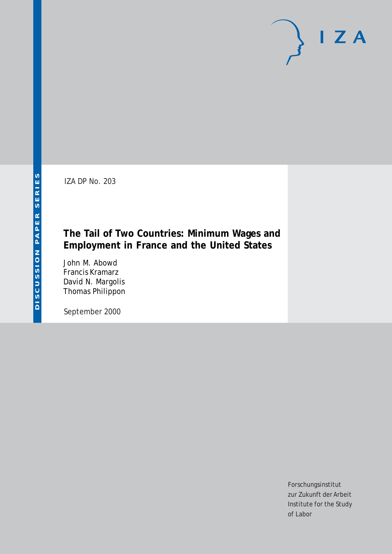IZA DP No. 203

# **The Tail of Two Countries: Minimum Wages and Employment in France and the United States**

John M. Abowd Francis Kramarz David N. Margolis Thomas Philippon

September 2000

Forschungsinstitut zur Zukunft der Arbeit Institute for the Study of Labor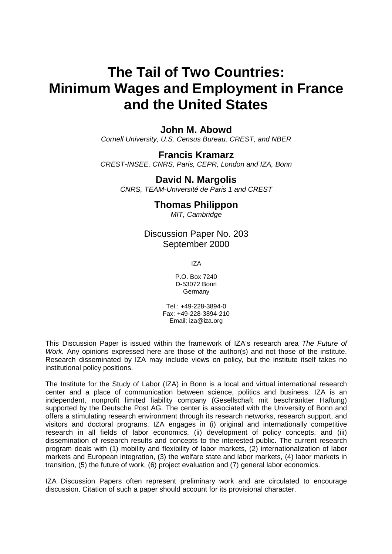# **The Tail of Two Countries: Minimum Wages and Employment in France and the United States**

## **John M. Abowd**

*Cornell University, U.S. Census Bureau, CREST, and NBER* 

### **Francis Kramarz**

*CREST-INSEE, CNRS, Paris, CEPR, London and IZA, Bonn*

# **David N. Margolis**

*CNRS, TEAM-Université de Paris 1 and CREST* 

# **Thomas Philippon**

*MIT, Cambridge* 

Discussion Paper No. 203 September 2000

IZA

P.O. Box 7240 D-53072 Bonn Germany

Tel.: +49-228-3894-0 Fax: +49-228-3894-210 Email: iza@iza.org

This Discussion Paper is issued within the framework of IZA's research area *The Future of Work.* Any opinions expressed here are those of the author(s) and not those of the institute. Research disseminated by IZA may include views on policy, but the institute itself takes no institutional policy positions.

The Institute for the Study of Labor (IZA) in Bonn is a local and virtual international research center and a place of communication between science, politics and business. IZA is an independent, nonprofit limited liability company (Gesellschaft mit beschränkter Haftung) supported by the Deutsche Post AG. The center is associated with the University of Bonn and offers a stimulating research environment through its research networks, research support, and visitors and doctoral programs. IZA engages in (i) original and internationally competitive research in all fields of labor economics, (ii) development of policy concepts, and (iii) dissemination of research results and concepts to the interested public. The current research program deals with (1) mobility and flexibility of labor markets, (2) internationalization of labor markets and European integration, (3) the welfare state and labor markets, (4) labor markets in transition, (5) the future of work, (6) project evaluation and (7) general labor economics.

IZA Discussion Papers often represent preliminary work and are circulated to encourage discussion. Citation of such a paper should account for its provisional character.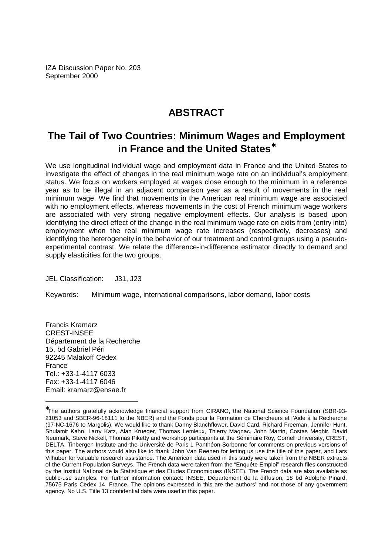IZA Discussion Paper No. 203 September 2000

# **ABSTRACT**

# **The Tail of Two Countries: Minimum Wages and Employment in France and the United States**<sup>∗</sup>

We use longitudinal individual wage and employment data in France and the United States to investigate the effect of changes in the real minimum wage rate on an individual's employment status. We focus on workers employed at wages close enough to the minimum in a reference year as to be illegal in an adjacent comparison year as a result of movements in the real minimum wage. We find that movements in the American real minimum wage are associated with no employment effects, whereas movements in the cost of French minimum wage workers are associated with very strong negative employment effects. Our analysis is based upon identifying the direct effect of the change in the real minimum wage rate on exits from (entry into) employment when the real minimum wage rate increases (respectively, decreases) and identifying the heterogeneity in the behavior of our treatment and control groups using a pseudoexperimental contrast. We relate the difference-in-difference estimator directly to demand and supply elasticities for the two groups.

JEL Classification: J31, J23

Keywords: Minimum wage, international comparisons, labor demand, labor costs

Francis Kramarz CREST-INSEE Département de la Recherche 15, bd Gabriel Péri 92245 Malakoff Cedex France Tel.: +33-1-4117 6033 Fax: +33-1-4117 6046 Email: kramarz@ensae.fr

<sup>∗</sup> The authors gratefully acknowledge financial support from CIRANO, the National Science Foundation (SBR-93- 21053 and SBER-96-18111 to the NBER) and the Fonds pour la Formation de Chercheurs et l'Aide à la Recherche (97-NC-1676 to Margolis). We would like to thank Danny Blanchflower, David Card, Richard Freeman, Jennifer Hunt, Shulamit Kahn, Larry Katz, Alan Krueger, Thomas Lemieux, Thierry Magnac, John Martin, Costas Meghir, David Neumark, Steve Nickell, Thomas Piketty and workshop participants at the Séminaire Roy, Cornell University, CREST, DELTA, Tinbergen Institute and the Université de Paris 1 Panthéon-Sorbonne for comments on previous versions of this paper. The authors would also like to thank John Van Reenen for letting us use the title of this paper, and Lars Vilhuber for valuable research assistance. The American data used in this study were taken from the NBER extracts of the Current Population Surveys. The French data were taken from the "Enquête Emploi" research files constructed by the Institut National de la Statistique et des Etudes Economiques (INSEE). The French data are also available as public-use samples. For further information contact: INSEE, Département de la diffusion, 18 bd Adolphe Pinard, 75675 Paris Cedex 14, France. The opinions expressed in this are the authors' and not those of any government agency. No U.S. Title 13 confidential data were used in this paper.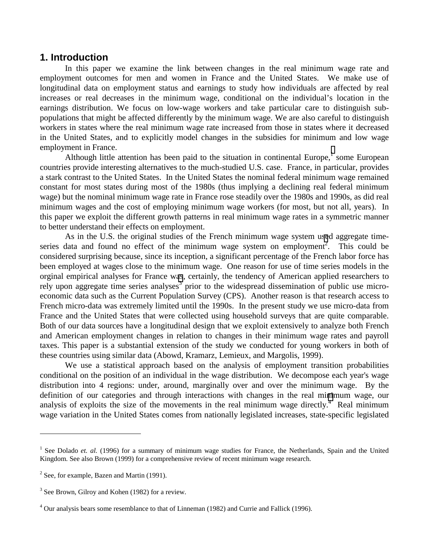### **1. Introduction**

In this paper we examine the link between changes in the real minimum wage rate and employment outcomes for men and women in France and the United States. We make use of longitudinal data on employment status and earnings to study how individuals are affected by real increases or real decreases in the minimum wage, conditional on the individual's location in the earnings distribution. We focus on low-wage workers and take particular care to distinguish subpopulations that might be affected differently by the minimum wage. We are also careful to distinguish workers in states where the real minimum wage rate increased from those in states where it decreased in the United States, and to explicitly model changes in the subsidies for minimum and low wage employment in France.

Although little attention has been paid to the situation in continental Europe,<sup>1</sup> some European countries provide interesting alternatives to the much-studied U.S. case. France, in particular, provides a stark contrast to the United States. In the United States the nominal federal minimum wage remained constant for most states during most of the 1980s (thus implying a declining real federal minimum wage) but the nominal minimum wage rate in France rose steadily over the 1980s and 1990s, as did real minimum wages and the cost of employing minimum wage workers (for most, but not all, years). In this paper we exploit the different growth patterns in real minimum wage rates in a symmetric manner to better understand their effects on employment.

As in the U.S. the original studies of the French minimum wage system used aggregate timeseries data and found no effect of the minimum wage system on employment<sup>2</sup>. This could be considered surprising because, since its inception, a significant percentage of the French labor force has been employed at wages close to the minimum wage. One reason for use of time series models in the orginal empirical analyses for France was, certainly, the tendency of American applied researchers to rely upon aggregate time series analyses<sup>3</sup> prior to the widespread dissemination of public use microeconomic data such as the Current Population Survey (CPS). Another reason is that research access to French micro-data was extremely limited until the 1990s. In the present study we use micro-data from France and the United States that were collected using household surveys that are quite comparable. Both of our data sources have a longitudinal design that we exploit extensively to analyze both French and American employment changes in relation to changes in their minimum wage rates and payroll taxes. This paper is a substantial extension of the study we conducted for young workers in both of these countries using similar data (Abowd, Kramarz, Lemieux, and Margolis, 1999).

We use a statistical approach based on the analysis of employment transition probabilities conditional on the position of an individual in the wage distribution. We decompose each year's wage distribution into 4 regions: under, around, marginally over and over the minimum wage. By the definition of our categories and through interactions with changes in the real minimum wage, our analysis of exploits the size of the movements in the real minimum wage directly. $4$  Real minimum wage variation in the United States comes from nationally legislated increases, state-specific legislated

 $\overline{a}$ 

<sup>&</sup>lt;sup>1</sup> See Dolado *et. al.* (1996) for a summary of minimum wage studies for France, the Netherlands, Spain and the United Kingdom. See also Brown (1999) for a comprehensive review of recent minimum wage research.

 $2$  See, for example, Bazen and Martin (1991).

<sup>&</sup>lt;sup>3</sup> See Brown, Gilroy and Kohen (1982) for a review.

<sup>&</sup>lt;sup>4</sup> Our analysis bears some resemblance to that of Linneman (1982) and Currie and Fallick (1996).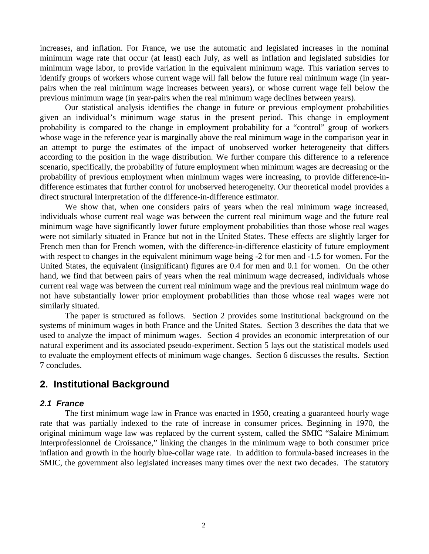increases, and inflation. For France, we use the automatic and legislated increases in the nominal minimum wage rate that occur (at least) each July, as well as inflation and legislated subsidies for minimum wage labor, to provide variation in the equivalent minimum wage. This variation serves to identify groups of workers whose current wage will fall below the future real minimum wage (in yearpairs when the real minimum wage increases between years), or whose current wage fell below the previous minimum wage (in year-pairs when the real minimum wage declines between years).

Our statistical analysis identifies the change in future or previous employment probabilities given an individual's minimum wage status in the present period. This change in employment probability is compared to the change in employment probability for a "control" group of workers whose wage in the reference year is marginally above the real minimum wage in the comparison year in an attempt to purge the estimates of the impact of unobserved worker heterogeneity that differs according to the position in the wage distribution. We further compare this difference to a reference scenario, specifically, the probability of future employment when minimum wages are decreasing or the probability of previous employment when minimum wages were increasing, to provide difference-indifference estimates that further control for unobserved heterogeneity. Our theoretical model provides a direct structural interpretation of the difference-in-difference estimator.

We show that, when one considers pairs of years when the real minimum wage increased, individuals whose current real wage was between the current real minimum wage and the future real minimum wage have significantly lower future employment probabilities than those whose real wages were not similarly situated in France but not in the United States. These effects are slightly larger for French men than for French women, with the difference-in-difference elasticity of future employment with respect to changes in the equivalent minimum wage being  $-2$  for men and  $-1.5$  for women. For the United States, the equivalent (insignificant) figures are 0.4 for men and 0.1 for women. On the other hand, we find that between pairs of years when the real minimum wage decreased, individuals whose current real wage was between the current real minimum wage and the previous real minimum wage do not have substantially lower prior employment probabilities than those whose real wages were not similarly situated.

The paper is structured as follows. Section 2 provides some institutional background on the systems of minimum wages in both France and the United States. Section 3 describes the data that we used to analyze the impact of minimum wages. Section 4 provides an economic interpretation of our natural experiment and its associated pseudo-experiment. Section 5 lays out the statistical models used to evaluate the employment effects of minimum wage changes. Section 6 discusses the results. Section 7 concludes.

## **2. Institutional Background**

#### *2.1 France*

The first minimum wage law in France was enacted in 1950, creating a guaranteed hourly wage rate that was partially indexed to the rate of increase in consumer prices. Beginning in 1970, the original minimum wage law was replaced by the current system, called the SMIC "Salaire Minimum Interprofessionnel de Croissance," linking the changes in the minimum wage to both consumer price inflation and growth in the hourly blue-collar wage rate. In addition to formula-based increases in the SMIC, the government also legislated increases many times over the next two decades. The statutory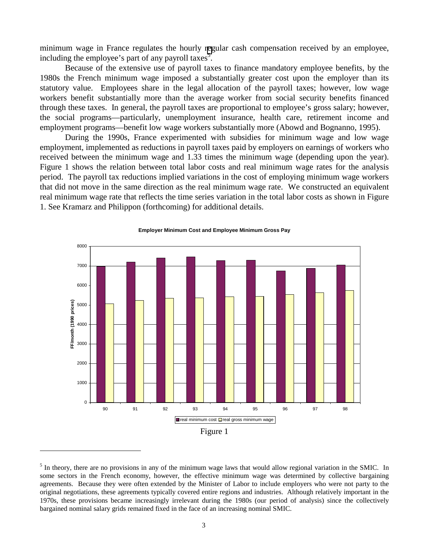minimum wage in France regulates the hourly regular cash compensation received by an employee, including the employee's part of any payroll taxes<sup>5</sup>.

Because of the extensive use of payroll taxes to finance mandatory employee benefits, by the 1980s the French minimum wage imposed a substantially greater cost upon the employer than its statutory value. Employees share in the legal allocation of the payroll taxes; however, low wage workers benefit substantially more than the average worker from social security benefits financed through these taxes. In general, the payroll taxes are proportional to employee's gross salary; however, the social programs—particularly, unemployment insurance, health care, retirement income and employment programs—benefit low wage workers substantially more (Abowd and Bognanno, 1995).

During the 1990s, France experimented with subsidies for minimum wage and low wage employment, implemented as reductions in payroll taxes paid by employers on earnings of workers who received between the minimum wage and 1.33 times the minimum wage (depending upon the year). Figure 1 shows the relation between total labor costs and real minimum wage rates for the analysis period. The payroll tax reductions implied variations in the cost of employing minimum wage workers that did not move in the same direction as the real minimum wage rate. We constructed an equivalent real minimum wage rate that reflects the time series variation in the total labor costs as shown in Figure 1. See Kramarz and Philippon (forthcoming) for additional details.



#### **Employer Minimum Cost and Employee Minimum Gross Pay**

 $\overline{a}$ 

<sup>&</sup>lt;sup>5</sup> In theory, there are no provisions in any of the minimum wage laws that would allow regional variation in the SMIC. In some sectors in the French economy, however, the effective minimum wage was determined by collective bargaining agreements. Because they were often extended by the Minister of Labor to include employers who were not party to the original negotiations, these agreements typically covered entire regions and industries. Although relatively important in the 1970s, these provisions became increasingly irrelevant during the 1980s (our period of analysis) since the collectively bargained nominal salary grids remained fixed in the face of an increasing nominal SMIC.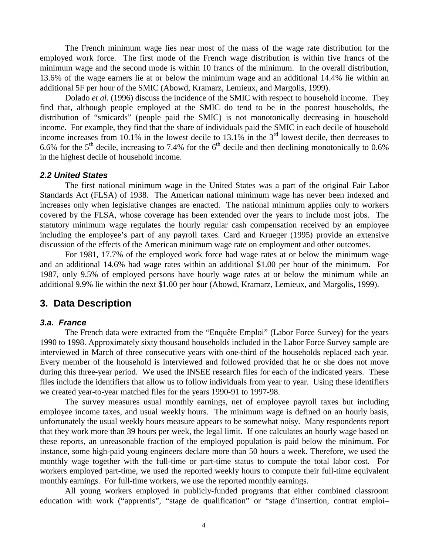The French minimum wage lies near most of the mass of the wage rate distribution for the employed work force. The first mode of the French wage distribution is within five francs of the minimum wage and the second mode is within 10 francs of the minimum. In the overall distribution, 13.6% of the wage earners lie at or below the minimum wage and an additional 14.4% lie within an additional 5F per hour of the SMIC (Abowd, Kramarz, Lemieux, and Margolis, 1999).

Dolado *et al.* (1996) discuss the incidence of the SMIC with respect to household income. They find that, although people employed at the SMIC do tend to be in the poorest households, the distribution of "smicards" (people paid the SMIC) is not monotonically decreasing in household income. For example, they find that the share of individuals paid the SMIC in each decile of household income increases from 10.1% in the lowest decile to  $13.1\%$  in the 3<sup>rd</sup> lowest decile, then decreases to 6.6% for the 5<sup>th</sup> decile, increasing to 7.4% for the 6<sup>th</sup> decile and then declining monotonically to 0.6% in the highest decile of household income.

#### *2.2 United States*

The first national minimum wage in the United States was a part of the original Fair Labor Standards Act (FLSA) of 1938. The American national minimum wage has never been indexed and increases only when legislative changes are enacted. The national minimum applies only to workers covered by the FLSA, whose coverage has been extended over the years to include most jobs. The statutory minimum wage regulates the hourly regular cash compensation received by an employee including the employee's part of any payroll taxes. Card and Krueger (1995) provide an extensive discussion of the effects of the American minimum wage rate on employment and other outcomes.

For 1981, 17.7% of the employed work force had wage rates at or below the minimum wage and an additional 14.6% had wage rates within an additional \$1.00 per hour of the minimum. For 1987, only 9.5% of employed persons have hourly wage rates at or below the minimum while an additional 9.9% lie within the next \$1.00 per hour (Abowd, Kramarz, Lemieux, and Margolis, 1999).

### **3. Data Description**

#### *3.a. France*

The French data were extracted from the "Enquête Emploi" (Labor Force Survey) for the years 1990 to 1998. Approximately sixty thousand households included in the Labor Force Survey sample are interviewed in March of three consecutive years with one-third of the households replaced each year. Every member of the household is interviewed and followed provided that he or she does not move during this three-year period. We used the INSEE research files for each of the indicated years. These files include the identifiers that allow us to follow individuals from year to year. Using these identifiers we created year-to-year matched files for the years 1990-91 to 1997-98.

The survey measures usual monthly earnings, net of employee payroll taxes but including employee income taxes, and usual weekly hours. The minimum wage is defined on an hourly basis, unfortunately the usual weekly hours measure appears to be somewhat noisy. Many respondents report that they work more than 39 hours per week, the legal limit. If one calculates an hourly wage based on these reports, an unreasonable fraction of the employed population is paid below the minimum. For instance, some high-paid young engineers declare more than 50 hours a week. Therefore, we used the monthly wage together with the full-time or part-time status to compute the total labor cost. For workers employed part-time, we used the reported weekly hours to compute their full-time equivalent monthly earnings. For full-time workers, we use the reported monthly earnings.

All young workers employed in publicly-funded programs that either combined classroom education with work ("apprentis", "stage de qualification" or "stage d'insertion, contrat emploi–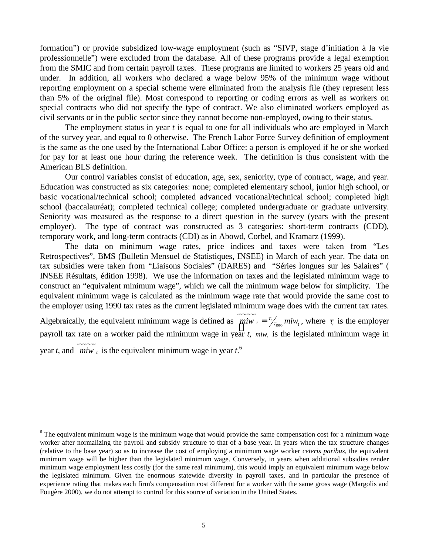formation") or provide subsidized low-wage employment (such as "SIVP, stage d'initiation à la vie professionnelle") were excluded from the database. All of these programs provide a legal exemption from the SMIC and from certain payroll taxes. These programs are limited to workers 25 years old and under. In addition, all workers who declared a wage below 95% of the minimum wage without reporting employment on a special scheme were eliminated from the analysis file (they represent less than 5% of the original file). Most correspond to reporting or coding errors as well as workers on special contracts who did not specify the type of contract. We also eliminated workers employed as civil servants or in the public sector since they cannot become non-employed, owing to their status.

The employment status in year *t* is equal to one for all individuals who are employed in March of the survey year, and equal to 0 otherwise. The French Labor Force Survey definition of employment is the same as the one used by the International Labor Office: a person is employed if he or she worked for pay for at least one hour during the reference week. The definition is thus consistent with the American BLS definition.

Our control variables consist of education, age, sex, seniority, type of contract, wage, and year. Education was constructed as six categories: none; completed elementary school, junior high school, or basic vocational/technical school; completed advanced vocational/technical school; completed high school (baccalauréat); completed technical college; completed undergraduate or graduate university. Seniority was measured as the response to a direct question in the survey (years with the present employer). The type of contract was constructed as 3 categories: short-term contracts (CDD), temporary work, and long-term contracts (CDI) as in Abowd, Corbel, and Kramarz (1999).

The data on minimum wage rates, price indices and taxes were taken from "Les Retrospectives", BMS (Bulletin Mensuel de Statistiques, INSEE) in March of each year. The data on tax subsidies were taken from "Liaisons Sociales" (DARES) and "Séries longues sur les Salaires" ( INSEE Résultats, édition 1998). We use the information on taxes and the legislated minimum wage to construct an "equivalent minimum wage", which we call the minimum wage below for simplicity. The equivalent minimum wage is calculated as the minimum wage rate that would provide the same cost to the employer using 1990 tax rates as the current legislated minimum wage does with the current tax rates.

Algebraically, the equivalent minimum wage is defined as  $\overline{m i w_t} = \frac{\tau_t}{\tau_{1.990}} m i w_t$  $=\frac{\tau_{\ell}}{\tau_{1000}}miw_t$ , where  $\tau_{\ell}$  is the employer payroll tax rate on a worker paid the minimum wage in year *t*, *miw*, is the legislated minimum wage in year *t*, and  $\overline{m i w_t}$  is the equivalent minimum wage in year *t*.<sup>6</sup>

 $\overline{a}$ 

<sup>&</sup>lt;sup>6</sup> The equivalent minimum wage is the minimum wage that would provide the same compensation cost for a minimum wage worker after normalizing the payroll and subsidy structure to that of a base year. In years when the tax structure changes (relative to the base year) so as to increase the cost of employing a minimum wage worker *ceteris paribus*, the equivalent minimum wage will be higher than the legislated minimum wage. Conversely, in years when additional subsidies render minimum wage employment less costly (for the same real minimum), this would imply an equivalent minimum wage below the legislated minimum. Given the enormous statewide diversity in payroll taxes, and in particular the presence of experience rating that makes each firm's compensation cost different for a worker with the same gross wage (Margolis and Fougère 2000), we do not attempt to control for this source of variation in the United States.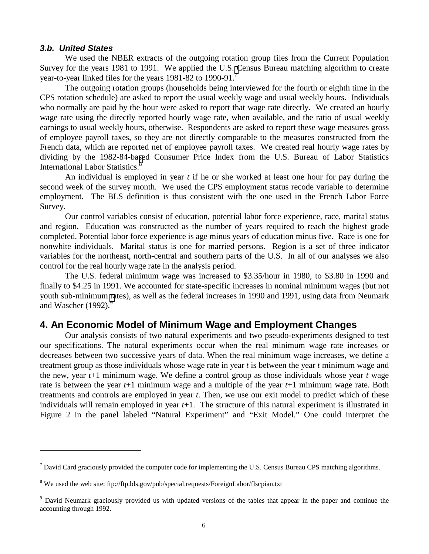#### *3.b. United States*

 $\overline{a}$ 

We used the NBER extracts of the outgoing rotation group files from the Current Population Survey for the years 1981 to 1991. We applied the U.S. Census Bureau matching algorithm to create year-to-year linked files for the years 1981-82 to 1990-91.<sup>7</sup>

The outgoing rotation groups (households being interviewed for the fourth or eighth time in the CPS rotation schedule) are asked to report the usual weekly wage and usual weekly hours. Individuals who normally are paid by the hour were asked to report that wage rate directly. We created an hourly wage rate using the directly reported hourly wage rate, when available, and the ratio of usual weekly earnings to usual weekly hours, otherwise. Respondents are asked to report these wage measures gross of employee payroll taxes, so they are not directly comparable to the measures constructed from the French data, which are reported net of employee payroll taxes. We created real hourly wage rates by dividing by the 1982-84-based Consumer Price Index from the U.S. Bureau of Labor Statistics International Labor Statistics.<sup>8</sup>

An individual is employed in year *t* if he or she worked at least one hour for pay during the second week of the survey month. We used the CPS employment status recode variable to determine employment. The BLS definition is thus consistent with the one used in the French Labor Force Survey.

Our control variables consist of education, potential labor force experience, race, marital status and region. Education was constructed as the number of years required to reach the highest grade completed. Potential labor force experience is age minus years of education minus five. Race is one for nonwhite individuals. Marital status is one for married persons. Region is a set of three indicator variables for the northeast, north-central and southern parts of the U.S. In all of our analyses we also control for the real hourly wage rate in the analysis period.

The U.S. federal minimum wage was increased to \$3.35/hour in 1980, to \$3.80 in 1990 and finally to \$4.25 in 1991. We accounted for state-specific increases in nominal minimum wages (but not youth sub-minimum rates), as well as the federal increases in 1990 and 1991, using data from Neumark and Wascher  $(1992)$ .<sup>9</sup>

### **4. An Economic Model of Minimum Wage and Employment Changes**

Our analysis consists of two natural experiments and two pseudo-experiments designed to test our specifications. The natural experiments occur when the real minimum wage rate increases or decreases between two successive years of data. When the real minimum wage increases, we define a treatment group as those individuals whose wage rate in year *t* is between the year *t* minimum wage and the new, year *t*+1 minimum wage. We define a control group as those individuals whose year *t* wage rate is between the year *t*+1 minimum wage and a multiple of the year *t*+1 minimum wage rate. Both treatments and controls are employed in year *t*. Then, we use our exit model to predict which of these individuals will remain employed in year *t*+1. The structure of this natural experiment is illustrated in Figure 2 in the panel labeled "Natural Experiment" and "Exit Model." One could interpret the

 $<sup>7</sup>$  David Card graciously provided the computer code for implementing the U.S. Census Bureau CPS matching algorithms.</sup>

<sup>&</sup>lt;sup>8</sup> We used the web site: ftp://ftp.bls.gov/pub/special.requests/ForeignLabor/flscpian.txt

<sup>&</sup>lt;sup>9</sup> David Neumark graciously provided us with updated versions of the tables that appear in the paper and continue the accounting through 1992.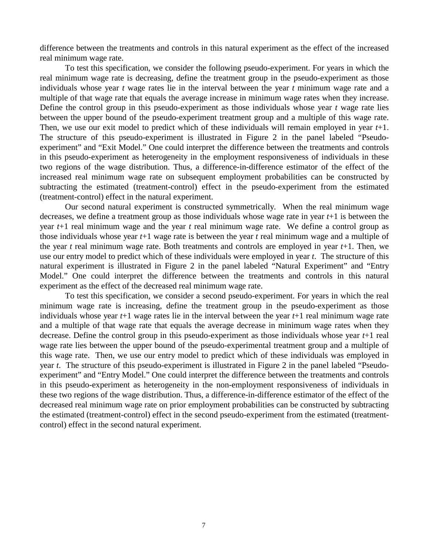difference between the treatments and controls in this natural experiment as the effect of the increased real minimum wage rate.

To test this specification, we consider the following pseudo-experiment. For years in which the real minimum wage rate is decreasing, define the treatment group in the pseudo-experiment as those individuals whose year *t* wage rates lie in the interval between the year *t* minimum wage rate and a multiple of that wage rate that equals the average increase in minimum wage rates when they increase. Define the control group in this pseudo-experiment as those individuals whose year *t* wage rate lies between the upper bound of the pseudo-experiment treatment group and a multiple of this wage rate. Then, we use our exit model to predict which of these individuals will remain employed in year *t*+1. The structure of this pseudo-experiment is illustrated in Figure 2 in the panel labeled "Pseudoexperiment" and "Exit Model." One could interpret the difference between the treatments and controls in this pseudo-experiment as heterogeneity in the employment responsiveness of individuals in these two regions of the wage distribution. Thus, a difference-in-difference estimator of the effect of the increased real minimum wage rate on subsequent employment probabilities can be constructed by subtracting the estimated (treatment-control) effect in the pseudo-experiment from the estimated (treatment-control) effect in the natural experiment.

Our second natural experiment is constructed symmetrically. When the real minimum wage decreases, we define a treatment group as those individuals whose wage rate in year *t*+1 is between the year *t*+1 real minimum wage and the year *t* real minimum wage rate. We define a control group as those individuals whose year *t*+1 wage rate is between the year *t* real minimum wage and a multiple of the year *t* real minimum wage rate. Both treatments and controls are employed in year *t*+1. Then, we use our entry model to predict which of these individuals were employed in year *t*. The structure of this natural experiment is illustrated in Figure 2 in the panel labeled "Natural Experiment" and "Entry Model." One could interpret the difference between the treatments and controls in this natural experiment as the effect of the decreased real minimum wage rate.

To test this specification, we consider a second pseudo-experiment. For years in which the real minimum wage rate is increasing, define the treatment group in the pseudo-experiment as those individuals whose year *t*+1 wage rates lie in the interval between the year *t*+1 real minimum wage rate and a multiple of that wage rate that equals the average decrease in minimum wage rates when they decrease. Define the control group in this pseudo-experiment as those individuals whose year *t*+1 real wage rate lies between the upper bound of the pseudo-experimental treatment group and a multiple of this wage rate. Then, we use our entry model to predict which of these individuals was employed in year *t*. The structure of this pseudo-experiment is illustrated in Figure 2 in the panel labeled "Pseudoexperiment" and "Entry Model." One could interpret the difference between the treatments and controls in this pseudo-experiment as heterogeneity in the non-employment responsiveness of individuals in these two regions of the wage distribution. Thus, a difference-in-difference estimator of the effect of the decreased real minimum wage rate on prior employment probabilities can be constructed by subtracting the estimated (treatment-control) effect in the second pseudo-experiment from the estimated (treatmentcontrol) effect in the second natural experiment.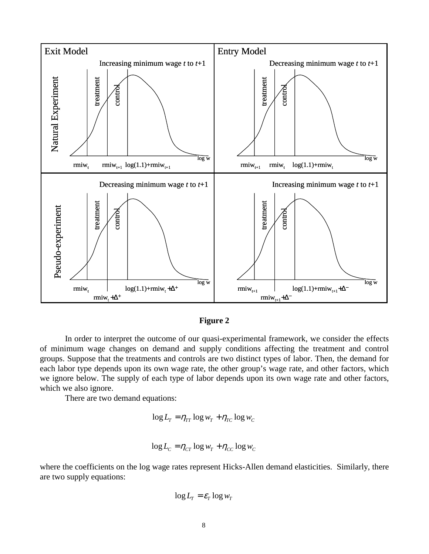

**Figure 2**

In order to interpret the outcome of our quasi-experimental framework, we consider the effects of minimum wage changes on demand and supply conditions affecting the treatment and control groups. Suppose that the treatments and controls are two distinct types of labor. Then, the demand for each labor type depends upon its own wage rate, the other group's wage rate, and other factors, which we ignore below. The supply of each type of labor depends upon its own wage rate and other factors, which we also ignore.

There are two demand equations:

$$
\log L_T = \eta_{TT} \log w_T + \eta_{TC} \log w_C
$$

$$
\log L_C = \eta_{CT} \log w_T + \eta_{CC} \log w_C
$$

where the coefficients on the log wage rates represent Hicks-Allen demand elasticities. Similarly, there are two supply equations:

$$
\log L_T = \varepsilon_T \log w_T
$$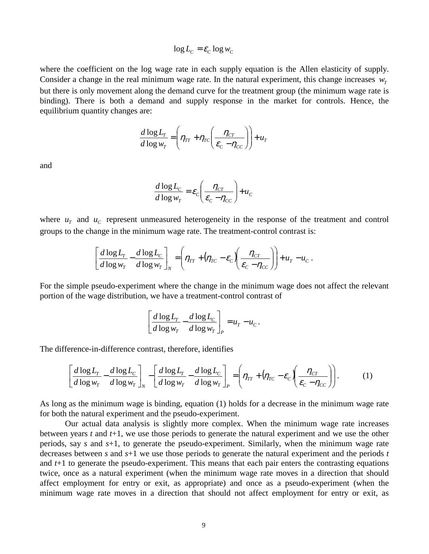$$
\log L_C = \varepsilon_C \log w_C
$$

where the coefficient on the log wage rate in each supply equation is the Allen elasticity of supply. Consider a change in the real minimum wage rate. In the natural experiment, this change increases  $w<sub>r</sub>$ but there is only movement along the demand curve for the treatment group (the minimum wage rate is binding). There is both a demand and supply response in the market for controls. Hence, the equilibrium quantity changes are:

$$
\frac{d \log L_r}{d \log w_T} = \left(\eta_{TT} + \eta_{TC} \left(\frac{\eta_{CT}}{\varepsilon_c - \eta_{CC}}\right)\right) + u_T
$$

and

$$
\frac{d \log L_C}{d \log w_T} = \varepsilon_C \left( \frac{\eta_{CT}}{\varepsilon_C - \eta_{CC}} \right) + u_C
$$

where  $u<sub>T</sub>$  and  $u<sub>C</sub>$  represent unmeasured heterogeneity in the response of the treatment and control groups to the change in the minimum wage rate. The treatment-control contrast is:

$$
\left[\frac{d \log L_r}{d \log w_T} - \frac{d \log L_c}{d \log w_T}\right]_N = \left(\eta_{TT} + (\eta_{TC} - \varepsilon_c) \left(\frac{\eta_{CT}}{\varepsilon_c - \eta_{CC}}\right)\right) + u_T - u_C.
$$

For the simple pseudo-experiment where the change in the minimum wage does not affect the relevant portion of the wage distribution, we have a treatment-control contrast of

$$
\left[\frac{d \log L_{T}}{d \log w_{T}} - \frac{d \log L_{C}}{d \log w_{T}}\right]_{P} = u_{T} - u_{C}.
$$

The difference-in-difference contrast, therefore, identifies

$$
\left[\frac{d \log L_{r}}{d \log w_{r}} - \frac{d \log L_{c}}{d \log w_{r}}\right]_{N} - \left[\frac{d \log L_{r}}{d \log w_{r}} - \frac{d \log L_{c}}{d \log w_{r}}\right]_{P} = \left(\eta_{rr} + (\eta_{rc} - \varepsilon_{c})\left(\frac{\eta_{cr}}{\varepsilon_{c} - \eta_{cc}}\right)\right).
$$
 (1)

As long as the minimum wage is binding, equation (1) holds for a decrease in the minimum wage rate for both the natural experiment and the pseudo-experiment.

Our actual data analysis is slightly more complex. When the minimum wage rate increases between years *t* and *t*+1, we use those periods to generate the natural experiment and we use the other periods, say *s* and *s*+1, to generate the pseudo-experiment. Similarly, when the minimum wage rate decreases between *s* and *s*+1 we use those periods to generate the natural experiment and the periods *t* and *t*+1 to generate the pseudo-experiment. This means that each pair enters the contrasting equations twice, once as a natural experiment (when the minimum wage rate moves in a direction that should affect employment for entry or exit, as appropriate) and once as a pseudo-experiment (when the minimum wage rate moves in a direction that should not affect employment for entry or exit, as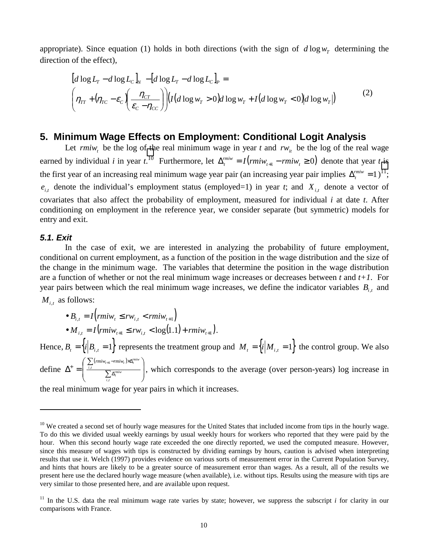appropriate). Since equation (1) holds in both directions (with the sign of  $d \log w<sub>r</sub>$  determining the direction of the effect),

$$
\begin{aligned}\n\left[d\log L_{T} - d\log L_{C}\right]_{N} - \left[d\log L_{T} - d\log L_{C}\right]_{P} &= \\
\left(\eta_{TT} + \left(\eta_{TC} - \varepsilon_{C}\right)\left(\frac{\eta_{CT}}{\varepsilon_{C} - \eta_{CC}}\right)\right) \left(I\left(d\log w_{T} > 0\right) d\log w_{T} + I\left(d\log w_{T} < 0\right) d\log w_{T}\right)\right)\n\end{aligned} \tag{2}
$$

#### **5. Minimum Wage Effects on Employment: Conditional Logit Analysis**

Let  $\{r m i w_t\}$  be the log of the real minimum wage in year t and  $r w_{it}$  be the log of the real wage earned by individual *i* in year *t*.<sup>10</sup> Furthermore, let  $\Delta_t^{min} = I(rmiw_{t+1} - rmiw_t \ge 0)$  denote that year *t* is the first year of an increasing real minimum wage year pair (an increasing year pair implies  $\Delta_t^{m\bar{n}w} = 1$ )<sup>11</sup>;  $e_{i,t}$  denote the individual's employment status (employed=1) in year *t*; and  $X_{i,t}$  denote a vector of covariates that also affect the probability of employment, measured for individual *i* at date *t*. After conditioning on employment in the reference year, we consider separate (but symmetric) models for entry and exit.

#### *5.1. Exit*

 $\overline{a}$ 

In the case of exit, we are interested in analyzing the probability of future employment, conditional on current employment, as a function of the position in the wage distribution and the size of the change in the minimum wage. The variables that determine the position in the wage distribution are a function of whether or not the real minimum wage increases or decreases between *t* and *t+1*. For year pairs between which the real minimum wage increases, we define the indicator variables  $B_{i,t}$  and  $M_{i,t}$  as follows:

• 
$$
B_{i,t} = I\left(rmiw_t \le rw_{i,t} < rmiw_{t+1}\right)
$$
  
\n•  $M_{i,t} = I\left(rmiw_{t+1} \le rw_{i,t} < \log(1.1) + rmiw_{t+1}\right)$ .

Hence,  $B_i = \{i | B_{i,t} = 1\}$  represents the treatment group and  $M_i = \{i | M_{i,t} = 1\}$  the control group. We also define  $(*rmiw*<sub>t+1</sub> – *rmiw*<sub>t</sub>)$  $\overline{\phantom{a}}$  $\overline{\phantom{a}}$ -  $\backslash$ I  $\mathsf{I}$ ∖ ſ  $\overline{\Sigma}$  $\overline{\Sigma}$  $\Delta^+ = \begin{array}{c} \frac{i}{l} & \frac{i}{l} \end{array}$  $+\int_{-t}^{t} \sum_{i,t} (r m i w_{t+1} - r m i w_t) \times \Delta$ *i t rmiw t*  $\sum_{i,t} (rmiw_{t+1} - rmiw_t) \times \Delta_t^{rmiw}$ ,  $\sum_{i}$  (muw<sub>t+1</sub>-muw<sub>t</sub>)  $\triangle S_i$ <br>  $\sum_{i}$  (muw<sub>t+1</sub>-muw<sub>t</sub>)  $\triangle S_i$ 

the real minimum wage for year pairs in which it increases.

 $10$  We created a second set of hourly wage measures for the United States that included income from tips in the hourly wage. To do this we divided usual weekly earnings by usual weekly hours for workers who reported that they were paid by the hour. When this second hourly wage rate exceeded the one directly reported, we used the computed measure. However, since this measure of wages with tips is constructed by dividing earnings by hours, caution is advised when interpreting results that use it. Welch (1997) provides evidence on various sorts of measurement error in the Current Population Survey, and hints that hours are likely to be a greater source of measurement error than wages. As a result, all of the results we present here use the declared hourly wage measure (when available), i.e. without tips. Results using the measure with tips are very similar to those presented here, and are available upon request.

<sup>&</sup>lt;sup>11</sup> In the U.S. data the real minimum wage rate varies by state; however, we suppress the subscript  $i$  for clarity in our comparisons with France.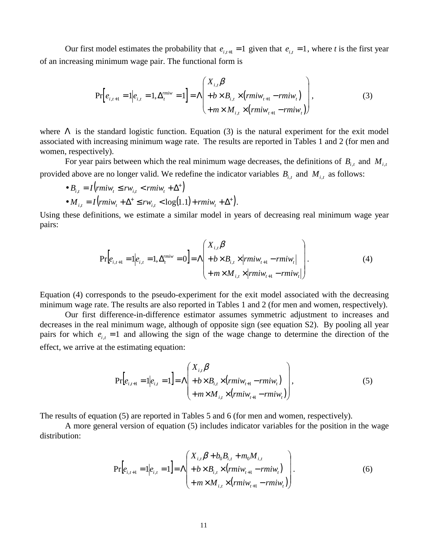Our first model estimates the probability that  $e_{i,t+1} = 1$  given that  $e_{i,t} = 1$ , where *t* is the first year of an increasing minimum wage pair. The functional form is

$$
\Pr\left[e_{i,t+1} = 1 | e_{i,t} = 1, \Delta_t^{miv} = 1\right] = \Lambda \left(\begin{array}{l} X_{i,t} \beta \\ + b \times B_{i,t} \times (rmiw_{t+1} - rmiw_t) \\ + m \times M_{i,t} \times (rmiw_{t+1} - rmiw_t) \end{array}\right),\tag{3}
$$

where  $\Lambda$  is the standard logistic function. Equation (3) is the natural experiment for the exit model associated with increasing minimum wage rate. The results are reported in Tables 1 and 2 (for men and women, respectively).

For year pairs between which the real minimum wage decreases, the definitions of  $B_{i,t}$  and  $M_{i,t}$ provided above are no longer valid. We redefine the indicator variables  $B_{i,t}$  and  $M_{i,t}$  as follows:

$$
\bullet B_{i,t} = I\left(rmiw_t \le rw_{i,t} < rmiw_t + \Delta^+\right) \\
\bullet M_{i,t} = I\left(rmiw_t + \Delta^+\le rw_{i,t} < \log(1.1) + rmiw_t + \Delta^+\right).
$$

Using these definitions, we estimate a similar model in years of decreasing real minimum wage year pairs:

$$
\Pr\left[e_{i,t+1} = 1 | e_{i,t} = 1, \Delta_t^{miv} = 0\right] = \Lambda \left(\begin{array}{l} X_{i,t} \beta \\ + b \times B_{i,t} \times | rmiw_{t+1} - rmiw_t| \\ + m \times M_{i,t} \times | rmiw_{t+1} - rmiw_t| \end{array}\right). \tag{4}
$$

Equation (4) corresponds to the pseudo-experiment for the exit model associated with the decreasing minimum wage rate. The results are also reported in Tables 1 and 2 (for men and women, respectively).

Our first difference-in-difference estimator assumes symmetric adjustment to increases and decreases in the real minimum wage, although of opposite sign (see equation S2). By pooling all year pairs for which  $e_{i,t} = 1$  and allowing the sign of the wage change to determine the direction of the effect, we arrive at the estimating equation:

$$
\Pr[e_{i,t+1} = 1 | e_{i,t} = 1] = \Lambda \left( \frac{X_{i,t} \beta}{+ b \times B_{i,t} \times (rmiw_{t+1} - rmiw_t)} \right),
$$
\n
$$
+ m \times M_{i,t} \times (rmiw_{t+1} - rmiw_t) \right),
$$
\n(5)

The results of equation (5) are reported in Tables 5 and 6 (for men and women, respectively).

A more general version of equation (5) includes indicator variables for the position in the wage distribution:

$$
\Pr[e_{i,t+1} = 1 | e_{i,t} = 1] = \Lambda \begin{pmatrix} X_{i,t} \beta + b_0 B_{i,t} + m_0 M_{i,t} \\ + b \times B_{i,t} \times (r m i w_{t+1} - r m i w_t) \\ + m \times M_{i,t} \times (r m i w_{t+1} - r m i w_t) \end{pmatrix}.
$$
\n(6)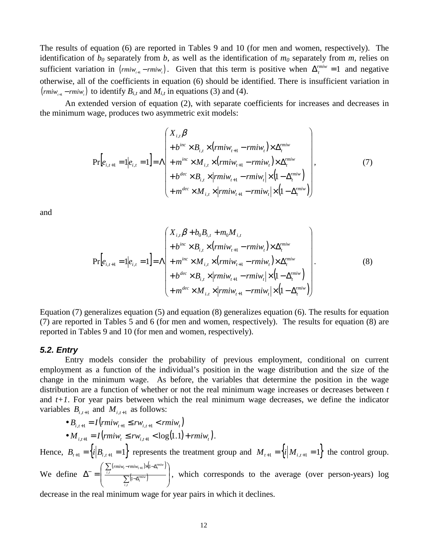The results of equation (6) are reported in Tables 9 and 10 (for men and women, respectively). The identification of  $b_0$  separately from *b*, as well as the identification of  $m_0$  separately from *m*, relies on sufficient variation in  $(rmi_{r_H} - rmi_{r_H})$ . Given that this term is positive when  $\Delta_t^{mmi_{r}} = 1$  and negative otherwise, all of the coefficients in equation (6) should be identified. There is insufficient variation in  $\binom{rmiw_{i+1} - rmiw_i}{k}$  to identify  $B_{i,t}$  and  $M_{i,t}$  in equations (3) and (4).

An extended version of equation (2), with separate coefficients for increases and decreases in the minimum wage, produces two asymmetric exit models:

$$
\Pr[e_{i,t+1} = 1 | e_{i,t} = 1] = \Lambda \begin{pmatrix} X_{i,t} \beta \\ +b^{inc} \times B_{i,t} \times (rmiw_{t+1} - rmiw_t) \times \Delta_t^{minv} \\ + m^{inc} \times M_{i,t} \times (rmiw_{t+1} - rmiw_t) \times \Delta_t^{minv} \\ + b^{dec} \times B_{i,t} \times |rmiw_{t+1} - rmiw_t| \times (1 - \Delta_t^{minv}) \\ + m^{dec} \times M_{i,t} \times |rmiw_{t+1} - rmiw_t| \times (1 - \Delta_t^{minv}) \end{pmatrix},
$$
\n(7)

and

$$
\Pr[e_{i,t+1} = 1 | e_{i,t} = 1] = \Lambda \begin{pmatrix} X_{i,t} \beta + b_0 B_{i,t} + m_0 M_{i,t} \\ + b^{inc} \times B_{i,t} \times (rmiw_{t+1} - rmiw_t) \times \Delta_t^{miw} \\ + m^{inc} \times M_{i,t} \times (rmiw_{t+1} - rmiw_t) \times \Delta_t^{rmiw} \\ + b^{dec} \times B_{i,t} \times |rmiw_{t+1} - rmiw_t| \times (1 - \Delta_t^{rmiw}) \\ + m^{dec} \times M_{i,t} \times |rmiw_{t+1} - rmiw_t| \times (1 - \Delta_t^{rmiw}) \end{pmatrix} .
$$
\n(8)

Equation (7) generalizes equation (5) and equation (8) generalizes equation (6). The results for equation (7) are reported in Tables 5 and 6 (for men and women, respectively). The results for equation (8) are reported in Tables 9 and 10 (for men and women, respectively).

#### *5.2. Entry*

Entry models consider the probability of previous employment, conditional on current employment as a function of the individual's position in the wage distribution and the size of the change in the minimum wage. As before, the variables that determine the position in the wage distribution are a function of whether or not the real minimum wage increases or decreases between *t* and *t+1*. For year pairs between which the real minimum wage decreases, we define the indicator variables  $B_{i,t+1}$  and  $M_{i,t+1}$  as follows:

• 
$$
B_{i,t+1} = I(rmiw_{t+1} \le rw_{i,t+1} < rmiw_t)
$$
  
\n•  $M_{i,t+1} = I(rmiw_t \le rw_{i,t+1} < \log(1.1) + rmiw_t).$ 

Hence,  $B_{t+1} = \left\{ i \middle| B_{i,t+1} = 1 \right\}$  represents the treatment group and  $M_{t+1} = \left\{ i \middle| M_{i,t+1} = 1 \right\}$  the control group. We define  $\left( \textit{rmiw}_{t} - \textit{rmiw}_{t+1} \right) \times \left( 1 - \Delta_t^{\textit{rmiw}} \right)$  $\left(1-\Delta_t^{m i w}\right)$  $\overline{\phantom{a}}$ - $\backslash$  $\mathsf{I}$  $\mathsf{I}$  $\setminus$ ſ  $\overline{\Sigma}$  $\overline{\Sigma}$  $\Delta^{-} = \begin{array}{c} \frac{i,t}{2} & \sqrt{1-\Delta} \end{array}$  $\Bigg( \sum_{i,t} (r m i w_t - r m i w_{t+1}) \times (1-\Delta$ *i t rmiw t*  $\sum_{i,t} (rmiw_t - rmiw_{t+1}) \times (1 - \Delta_t^{rmiw_t})$ ,  $\sum_{t}$  (*mw<sub>t</sub>*-*rmw<sub>t+1</sub>*) 1 1 , which corresponds to the average (over person-years) log

decrease in the real minimum wage for year pairs in which it declines.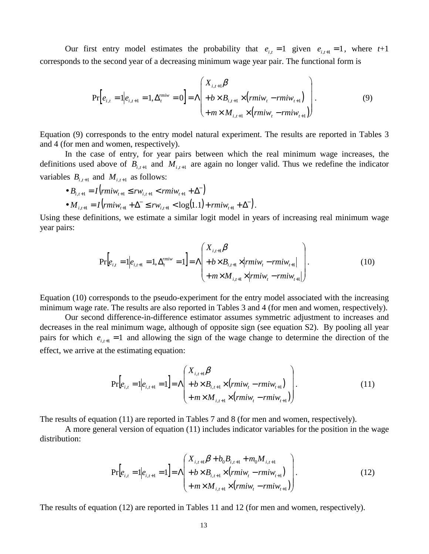Our first entry model estimates the probability that  $e_{i,t} = 1$  given  $e_{i,t+1} = 1$ , where  $t+1$ corresponds to the second year of a decreasing minimum wage year pair. The functional form is

$$
\Pr\left[e_{i,t} = 1 | e_{i,t+1} = 1, \Delta_i^{m i w} = 0\right] = \Lambda \left(\begin{aligned} X_{i,t+1} & \beta \\ + & b \times B_{i,t+1} \times (r m i w_t - r m i w_{t+1}) \\ + & m \times M_{i,t+1} \times (r m i w_t - r m i w_{t+1}) \end{aligned}\right). \tag{9}
$$

Equation (9) corresponds to the entry model natural experiment. The results are reported in Tables 3 and 4 (for men and women, respectively).

In the case of entry, for year pairs between which the real minimum wage increases, the definitions used above of  $B_{i,t+1}$  and  $M_{i,t+1}$  are again no longer valid. Thus we redefine the indicator variables  $B_{i,t+1}$  and  $M_{i,t+1}$  as follows:

• 
$$
B_{i,t+1} = I\left(rmiw_{t+1} \le rw_{i,t+1} < rmiw_{t+1} + \Delta^-\right)
$$
  
\n•  $M_{i,t+1} = I\left(rmiw_{t+1} + \Delta^-\le rw_{i,t+1} < \log(1.1) + rmiw_{t+1} + \Delta^-\right).$ 

Using these definitions, we estimate a similar logit model in years of increasing real minimum wage year pairs:

$$
\Pr\left[e_{i,t} = 1 | e_{i,t+1} = 1, \Delta_t^{miv} = 1\right] = \Lambda \left(\begin{array}{l} X_{i,t+1} \beta \\ + b \times B_{i,t+1} \times | rmiw_t - rmiw_{t+1} | \\ + m \times M_{i,t+1} \times | rmiw_t - rmiw_{t+1} | \end{array}\right).
$$
\n(10)

Equation (10) corresponds to the pseudo-experiment for the entry model associated with the increasing minimum wage rate. The results are also reported in Tables 3 and 4 (for men and women, respectively).

Our second difference-in-difference estimator assumes symmetric adjustment to increases and decreases in the real minimum wage, although of opposite sign (see equation S2). By pooling all year pairs for which  $e_{i,t+1} = 1$  and allowing the sign of the wage change to determine the direction of the effect, we arrive at the estimating equation:

$$
\Pr[e_{i,t} = 1 | e_{i,t+1} = 1] = \Lambda \begin{pmatrix} X_{i,t+1} \beta \\ + b \times B_{i,t+1} \times (rmiw_t - rmiw_{t+1}) \\ + m \times M_{i,t+1} \times (rmiw_t - rmiw_{t+1}) \end{pmatrix} .
$$
\n(11)

The results of equation (11) are reported in Tables 7 and 8 (for men and women, respectively).

A more general version of equation (11) includes indicator variables for the position in the wage distribution:

$$
\Pr[e_{i,t} = 1 | e_{i,t+1} = 1] = \Lambda \begin{pmatrix} X_{i,t+1} \beta + b_0 B_{i,t+1} + m_0 M_{i,t+1} \\ + b \times B_{i,t+1} \times (r m i w_t - r m i w_{t+1}) \\ + m \times M_{i,t+1} \times (r m i w_t - r m i w_{t+1}) \end{pmatrix}.
$$
\n(12)

The results of equation (12) are reported in Tables 11 and 12 (for men and women, respectively).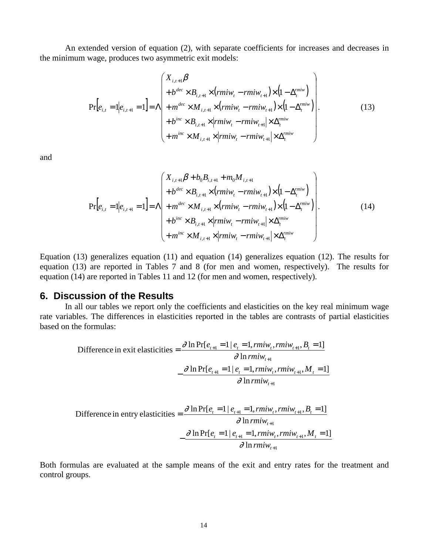An extended version of equation (2), with separate coefficients for increases and decreases in the minimum wage, produces two asymmetric exit models:

$$
\Pr[e_{i,t} = 1 | e_{i,t+1} = 1] = \Lambda \begin{pmatrix} X_{i,t+1} \beta \\ + b^{dec} \times B_{i,t+1} \times (rmiw_t - rmiw_{t+1}) \times (1 - \Delta_t^{minv}) \\ + m^{dec} \times M_{i,t+1} \times (rmiw_t - rmiw_{t+1}) \times (1 - \Delta_t^{minv}) \\ + b^{inc} \times B_{i,t+1} \times |rmiw_t - rmiw_{t+1}| \times \Delta_t^{rmiw} \\ + m^{inc} \times M_{i,t+1} \times |rmiw_t - rmiw_{t+1}| \times \Delta_t^{rmiw} \end{pmatrix}.
$$
 (13)

and

$$
\Pr[e_{i,t} = 1 | e_{i,t+1} = 1] = \Lambda \begin{pmatrix} X_{i,t+1} \beta + b_0 B_{i,t+1} + m_0 M_{i,t+1} \\ + b^{dec} \times B_{i,t+1} \times (rmiw_t - rmiw_{t+1}) \times (1 - \Delta_t^{minv}) \\ + m^{dec} \times M_{i,t+1} \times (rmiw_t - rmiw_{t+1}) \times (1 - \Delta_t^{minv}) \\ + b^{inc} \times B_{i,t+1} \times |rmiw_t - rmiw_{t+1}| \times \Delta_t^{minv} \\ + m^{inc} \times M_{i,t+1} \times |rmiw_t - rmiw_{t+1}| \times \Delta_t^{minv} \end{pmatrix} .
$$
 (14)

Equation (13) generalizes equation (11) and equation (14) generalizes equation (12). The results for equation (13) are reported in Tables 7 and 8 (for men and women, respectively). The results for equation (14) are reported in Tables 11 and 12 (for men and women, respectively).

#### **6. Discussion of the Results**

In all our tables we report only the coefficients and elasticities on the key real minimum wage rate variables. The differences in elasticities reported in the tables are contrasts of partial elasticities based on the formulas:

$$
\begin{aligned} \text{Difference in exit elasticities} &= \frac{\partial \ln \Pr[e_{t+1} = 1 \mid e_t = 1, rmiw_t, rmiw_{t+1}, B_t = 1]}{\partial \ln rmiw_{t+1}} \\ &- \frac{\partial \ln \Pr[e_{t+1} = 1 \mid e_t = 1, rmiw_t, rmiw_{t+1}, M_t = 1]}{\partial \ln rmiw_{t+1}} \end{aligned}
$$

$$
\text{Difference in entry elasticities} = \frac{\partial \ln \Pr[e_i = 1 | e_{t+1} = 1, rmiw_t, rmiw_{t+1}, B_t = 1]}{\partial \ln rmiw_{t+1}} - \frac{\partial \ln \Pr[e_t = 1 | e_{t+1} = 1, rmiw_t, rmiw_{t+1}, M_t = 1]}{\partial \ln rmiw_{t+1}}
$$

Both formulas are evaluated at the sample means of the exit and entry rates for the treatment and control groups.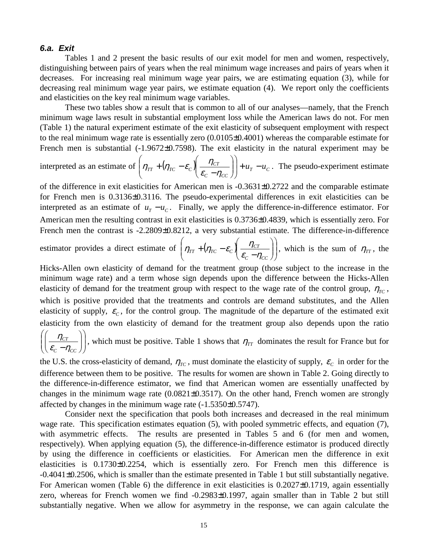#### *6.a. Exit*

Tables 1 and 2 present the basic results of our exit model for men and women, respectively, distinguishing between pairs of years when the real minimum wage increases and pairs of years when it decreases. For increasing real minimum wage year pairs, we are estimating equation (3), while for decreasing real minimum wage year pairs, we estimate equation (4). We report only the coefficients and elasticities on the key real minimum wage variables.

These two tables show a result that is common to all of our analyses—namely, that the French minimum wage laws result in substantial employment loss while the American laws do not. For men (Table 1) the natural experiment estimate of the exit elasticity of subsequent employment with respect to the real minimum wage rate is essentially zero (0.0105±0.4001) whereas the comparable estimate for French men is substantial  $(-1.9672\pm 0.7598)$ . The exit elasticity in the natural experiment may be  $\backslash$ ſ  $\backslash$ ſ

interpreted as an estimate of  $(\eta_{TT} + (\eta_{TC} - \varepsilon_c)) \frac{\eta_{CT}}{\eta_{CT}} | + u_T - u_C$ *C CC*  $\mathcal{L}_{TT}$  +  $\left(\eta_{TC} - \varepsilon_c\right) \left| \frac{\eta_{CT}}{\varepsilon - n} \right| \left| + u_T - u\right|$ -  $\overline{\phantom{a}}$ l  $\overline{\phantom{a}}$ -  $\overline{\phantom{a}}$ l  $\eta_{TT}$  +  $(\eta_{TC} - \varepsilon_c) \left( \frac{\eta_{CT}}{\varepsilon_c - \eta_{CC}} \right)$  +  $u_T$  –  $u_C$ . The pseudo-experiment estimate

of the difference in exit elasticities for American men is -0.3631±0.2722 and the comparable estimate for French men is 0.3136±0.3116. The pseudo-experimental differences in exit elasticities can be interpreted as an estimate of  $u_T - u_C$ . Finally, we apply the difference-in-difference estimator. For American men the resulting contrast in exit elasticities is 0.3736±0.4839, which is essentially zero. For French men the contrast is -2.2809±0.8212, a very substantial estimate. The difference-in-difference

estimator provides a direct estimate of 
$$
\left(\eta_{TT} + (\eta_{TC} - \varepsilon_c) \left( \frac{\eta_{CT}}{\varepsilon_c - \eta_{CC}} \right) \right)
$$
, which is the sum of  $\eta_{TT}$ , the

Hicks-Allen own elasticity of demand for the treatment group (those subject to the increase in the minimum wage rate) and a term whose sign depends upon the difference between the Hicks-Allen elasticity of demand for the treatment group with respect to the wage rate of the control group,  $\eta_{TC}$ , which is positive provided that the treatments and controls are demand substitutes, and the Allen elasticity of supply,  $\varepsilon_c$ , for the control group. The magnitude of the departure of the estimated exit elasticity from the own elasticity of demand for the treatment group also depends upon the ratio

 $\overline{\phantom{a}}$ -  $\backslash$  $\overline{\phantom{a}}$ l ſ  $\overline{\phantom{a}}$ -  $\backslash$  $\overline{\phantom{a}}$ l ſ  $C_C - \eta_{CC}$ *CT*  $\left(\frac{\eta_{CT}}{\varepsilon_c - \eta_{CC}}\right)$ , which must be positive. Table 1 shows that  $\eta_{TT}$  dominates the result for France but for

the U.S. the cross-elasticity of demand,  $\eta_{TC}$ , must dominate the elasticity of supply,  $\varepsilon_c$  in order for the difference between them to be positive. The results for women are shown in Table 2. Going directly to the difference-in-difference estimator, we find that American women are essentially unaffected by changes in the minimum wage rate  $(0.0821\pm 0.3517)$ . On the other hand, French women are strongly affected by changes in the minimum wage rate (-1.5350±0.5747).

Consider next the specification that pools both increases and decreased in the real minimum wage rate. This specification estimates equation (5), with pooled symmetric effects, and equation (7), with asymmetric effects. The results are presented in Tables 5 and 6 (for men and women, respectively). When applying equation (5), the difference-in-difference estimator is produced directly by using the difference in coefficients or elasticities. For American men the difference in exit elasticities is 0.1730±0.2254, which is essentially zero. For French men this difference is -0.4041±0.2506, which is smaller than the estimate presented in Table 1 but still substantially negative. For American women (Table 6) the difference in exit elasticities is 0.2027±0.1719, again essentially zero, whereas for French women we find -0.2983±0.1997, again smaller than in Table 2 but still substantially negative. When we allow for asymmetry in the response, we can again calculate the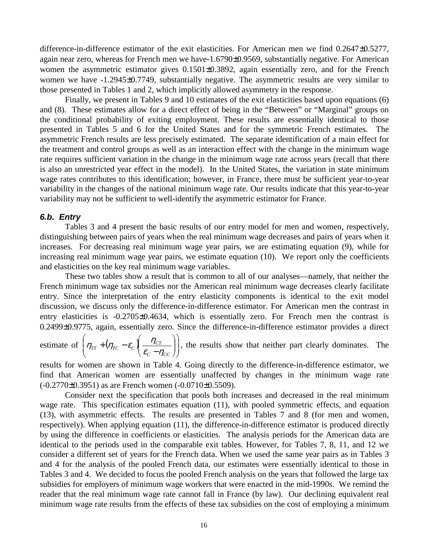difference-in-difference estimator of the exit elasticities. For American men we find 0.2647±0.5277, again near zero, whereas for French men we have-1.6790±0.9569, substantially negative. For American women the asymmetric estimator gives  $0.1501\pm0.3892$ , again essentially zero, and for the French women we have -1.2945±0.7749, substantially negative. The asymmetric results are very similar to those presented in Tables 1 and 2, which implicitly allowed asymmetry in the response.

Finally, we present in Tables 9 and 10 estimates of the exit elasticities based upon equations (6) and (8). These estimates allow for a direct effect of being in the "Between" or "Marginal" groups on the conditional probability of exiting employment. These results are essentially identical to those presented in Tables 5 and 6 for the United States and for the symmetric French estimates. The asymmetric French results are less precisely estimated. The separate identification of a main effect for the treatment and control groups as well as an interaction effect with the change in the minimum wage rate requires sufficient variation in the change in the minimum wage rate across years (recall that there is also an unrestricted year effect in the model). In the United States, the variation in state minimum wage rates contributes to this identification; however, in France, there must be sufficient year-to-year variability in the changes of the national minimum wage rate. Our results indicate that this year-to-year variability may not be sufficient to well-identify the asymmetric estimator for France.

#### *6.b. Entry*

Tables 3 and 4 present the basic results of our entry model for men and women, respectively, distinguishing between pairs of years when the real minimum wage decreases and pairs of years when it increases. For decreasing real minimum wage year pairs, we are estimating equation (9), while for increasing real minimum wage year pairs, we estimate equation (10). We report only the coefficients and elasticities on the key real minimum wage variables.

These two tables show a result that is common to all of our analyses—namely, that neither the French minimum wage tax subsidies nor the American real minimum wage decreases clearly facilitate entry. Since the interpretation of the entry elasticity components is identical to the exit model discussion, we discuss only the difference-in-difference estimator. For American men the contrast in entry elasticities is -0.2705±0.4634, which is essentially zero. For French men the contrast is 0.2499±0.9775, again, essentially zero. Since the difference-in-difference estimator provides a direct

estimate of  $\left| \eta_{TT} + (\eta_{TC} - \varepsilon_C) \right| \frac{\eta_{CT}}{\varepsilon - n} \right|$ -  $\backslash$  $\overline{\phantom{a}}$ l ſ  $\overline{\phantom{a}}$ -  $\backslash$  $\overline{\phantom{a}}$ l ſ  $+\left(\eta_{TC}-\varepsilon_c\right)\left(\frac{\eta_{CT}}{\varepsilon_c-\eta_{CC}}\right)$  $\mathcal{C}_{TT}$  + ( $\eta_{TC}$  –  $\varepsilon_c$ )  $\frac{\eta_{CT}}{\varepsilon_c - \eta_c}$  $\eta_{TT} + (\eta_{TC} - \varepsilon_c)$   $\frac{\eta_{CT}}{\eta_{CT}}$ , the results show that neither part clearly dominates. The

results for women are shown in Table 4. Going directly to the difference-in-difference estimator, we find that American women are essentially unaffected by changes in the minimum wage rate  $(-0.2770 \pm 0.3951)$  as are French women  $(-0.0710 \pm 0.5509)$ .

Consider next the specification that pools both increases and decreased in the real minimum wage rate. This specification estimates equation (11), with pooled symmetric effects, and equation (13), with asymmetric effects. The results are presented in Tables 7 and 8 (for men and women, respectively). When applying equation (11), the difference-in-difference estimator is produced directly by using the difference in coefficients or elasticities. The analysis periods for the American data are identical to the periods used in the comparable exit tables. However, for Tables 7, 8, 11, and 12 we consider a different set of years for the French data. When we used the same year pairs as in Tables 3 and 4 for the analysis of the pooled French data, our estimates were essentially identical to those in Tables 3 and 4. We decided to focus the pooled French analysis on the years that followed the large tax subsidies for employers of minimum wage workers that were enacted in the mid-1990s. We remind the reader that the real minimum wage rate cannot fall in France (by law). Our declining equivalent real minimum wage rate results from the effects of these tax subsidies on the cost of employing a minimum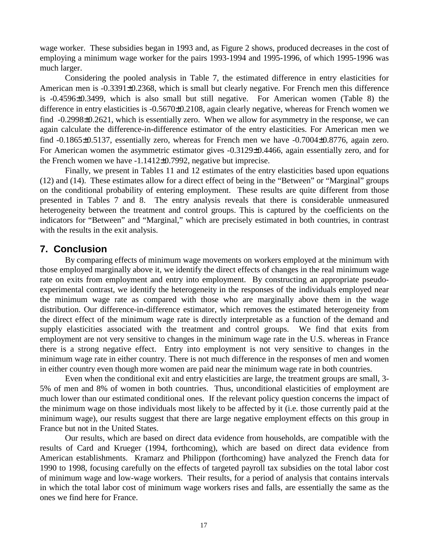wage worker. These subsidies began in 1993 and, as Figure 2 shows, produced decreases in the cost of employing a minimum wage worker for the pairs 1993-1994 and 1995-1996, of which 1995-1996 was much larger.

Considering the pooled analysis in Table 7, the estimated difference in entry elasticities for American men is -0.3391±0.2368, which is small but clearly negative. For French men this difference is -0.4596±0.3499, which is also small but still negative. For American women (Table 8) the difference in entry elasticities is -0.5670±0.2108, again clearly negative, whereas for French women we find -0.2998 $\pm$ 0.2621, which is essentially zero. When we allow for asymmetry in the response, we can again calculate the difference-in-difference estimator of the entry elasticities. For American men we find -0.1865±0.5137, essentially zero, whereas for French men we have -0.7004±0.8776, again zero. For American women the asymmetric estimator gives -0.3129±0.4466, again essentially zero, and for the French women we have -1.1412±0.7992, negative but imprecise.

Finally, we present in Tables 11 and 12 estimates of the entry elasticities based upon equations (12) and (14). These estimates allow for a direct effect of being in the "Between" or "Marginal" groups on the conditional probability of entering employment. These results are quite different from those presented in Tables 7 and 8. The entry analysis reveals that there is considerable unmeasured heterogeneity between the treatment and control groups. This is captured by the coefficients on the indicators for "Between" and "Marginal," which are precisely estimated in both countries, in contrast with the results in the exit analysis.

# **7. Conclusion**

By comparing effects of minimum wage movements on workers employed at the minimum with those employed marginally above it, we identify the direct effects of changes in the real minimum wage rate on exits from employment and entry into employment. By constructing an appropriate pseudoexperimental contrast, we identify the heterogeneity in the responses of the individuals employed near the minimum wage rate as compared with those who are marginally above them in the wage distribution. Our difference-in-difference estimator, which removes the estimated heterogeneity from the direct effect of the minimum wage rate is directly interpretable as a function of the demand and supply elasticities associated with the treatment and control groups. We find that exits from employment are not very sensitive to changes in the minimum wage rate in the U.S. whereas in France there is a strong negative effect. Entry into employment is not very sensitive to changes in the minimum wage rate in either country. There is not much difference in the responses of men and women in either country even though more women are paid near the minimum wage rate in both countries.

Even when the conditional exit and entry elasticities are large, the treatment groups are small, 3- 5% of men and 8% of women in both countries. Thus, unconditional elasticities of employment are much lower than our estimated conditional ones. If the relevant policy question concerns the impact of the minimum wage on those individuals most likely to be affected by it (i.e. those currently paid at the minimum wage), our results suggest that there are large negative employment effects on this group in France but not in the United States.

Our results, which are based on direct data evidence from households, are compatible with the results of Card and Krueger (1994, forthcoming), which are based on direct data evidence from American establishments. Kramarz and Philippon (forthcoming) have analyzed the French data for 1990 to 1998, focusing carefully on the effects of targeted payroll tax subsidies on the total labor cost of minimum wage and low-wage workers. Their results, for a period of analysis that contains intervals in which the total labor cost of minimum wage workers rises and falls, are essentially the same as the ones we find here for France.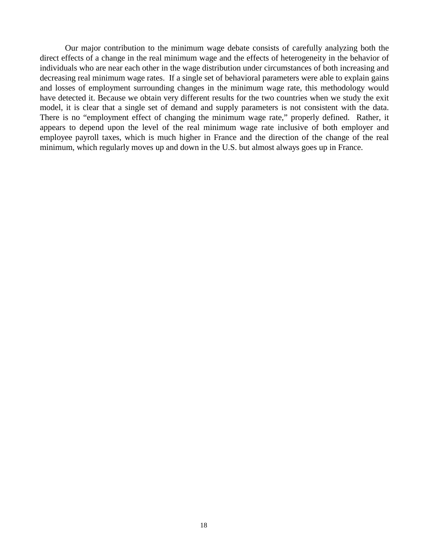Our major contribution to the minimum wage debate consists of carefully analyzing both the direct effects of a change in the real minimum wage and the effects of heterogeneity in the behavior of individuals who are near each other in the wage distribution under circumstances of both increasing and decreasing real minimum wage rates. If a single set of behavioral parameters were able to explain gains and losses of employment surrounding changes in the minimum wage rate, this methodology would have detected it. Because we obtain very different results for the two countries when we study the exit model, it is clear that a single set of demand and supply parameters is not consistent with the data. There is no "employment effect of changing the minimum wage rate," properly defined. Rather, it appears to depend upon the level of the real minimum wage rate inclusive of both employer and employee payroll taxes, which is much higher in France and the direction of the change of the real minimum, which regularly moves up and down in the U.S. but almost always goes up in France.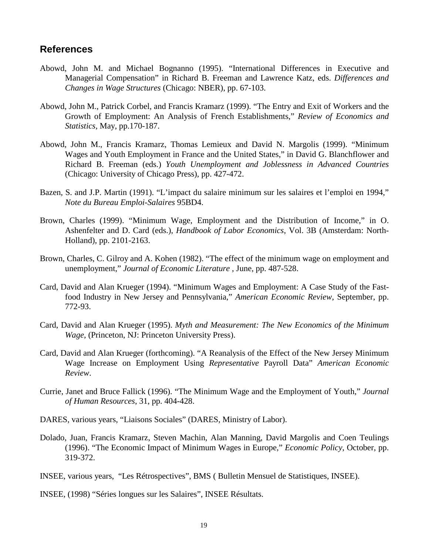## **References**

- Abowd, John M. and Michael Bognanno (1995). "International Differences in Executive and Managerial Compensation" in Richard B. Freeman and Lawrence Katz, eds. *Differences and Changes in Wage Structures* (Chicago: NBER), pp. 67-103.
- Abowd, John M., Patrick Corbel, and Francis Kramarz (1999). "The Entry and Exit of Workers and the Growth of Employment: An Analysis of French Establishments," *Review of Economics and Statistics,* May, pp.170-187.
- Abowd, John M., Francis Kramarz, Thomas Lemieux and David N. Margolis (1999). "Minimum Wages and Youth Employment in France and the United States," in David G. Blanchflower and Richard B. Freeman (eds.) *Youth Unemployment and Joblessness in Advanced Countries* (Chicago: University of Chicago Press), pp. 427-472.
- Bazen, S. and J.P. Martin (1991). "L'impact du salaire minimum sur les salaires et l'emploi en 1994," *Note du Bureau Emploi-Salaires* 95BD4.
- Brown, Charles (1999). "Minimum Wage, Employment and the Distribution of Income," in O. Ashenfelter and D. Card (eds.), *Handbook of Labor Economics*, Vol. 3B (Amsterdam: North-Holland), pp. 2101-2163.
- Brown, Charles, C. Gilroy and A. Kohen (1982). "The effect of the minimum wage on employment and unemployment," *Journal of Economic Literature* , June, pp. 487-528.
- Card, David and Alan Krueger (1994). "Minimum Wages and Employment: A Case Study of the Fastfood Industry in New Jersey and Pennsylvania," *American Economic Review*, September, pp. 772-93.
- Card, David and Alan Krueger (1995). *Myth and Measurement: The New Economics of the Minimum Wage*, (Princeton, NJ: Princeton University Press).
- Card, David and Alan Krueger (forthcoming). "A Reanalysis of the Effect of the New Jersey Minimum Wage Increase on Employment Using *Representative* Payroll Data" *American Economic Review*.
- Currie, Janet and Bruce Fallick (1996). "The Minimum Wage and the Employment of Youth," *Journal of Human Resources*, 31, pp. 404-428.
- DARES, various years, "Liaisons Sociales" (DARES, Ministry of Labor).
- Dolado, Juan, Francis Kramarz, Steven Machin, Alan Manning, David Margolis and Coen Teulings (1996). "The Economic Impact of Minimum Wages in Europe," *Economic Policy*, October, pp. 319-372.

INSEE, various years, "Les Rétrospectives", BMS ( Bulletin Mensuel de Statistiques, INSEE).

INSEE, (1998) "Séries longues sur les Salaires", INSEE Résultats.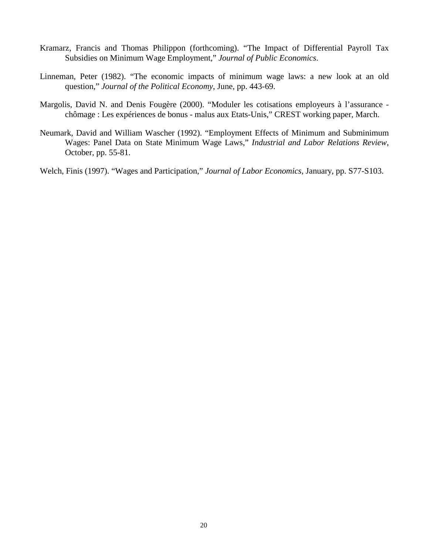- Kramarz, Francis and Thomas Philippon (forthcoming). "The Impact of Differential Payroll Tax Subsidies on Minimum Wage Employment," *Journal of Public Economics*.
- Linneman, Peter (1982). "The economic impacts of minimum wage laws: a new look at an old question," *Journal of the Political Economy*, June, pp. 443-69.
- Margolis, David N. and Denis Fougère (2000). "Moduler les cotisations employeurs à l'assurance chômage : Les expériences de bonus - malus aux Etats-Unis," CREST working paper, March.
- Neumark, David and William Wascher (1992). "Employment Effects of Minimum and Subminimum Wages: Panel Data on State Minimum Wage Laws," *Industrial and Labor Relations Review*, October, pp. 55-81.

Welch, Finis (1997). "Wages and Participation," *Journal of Labor Economics*, January, pp. S77-S103.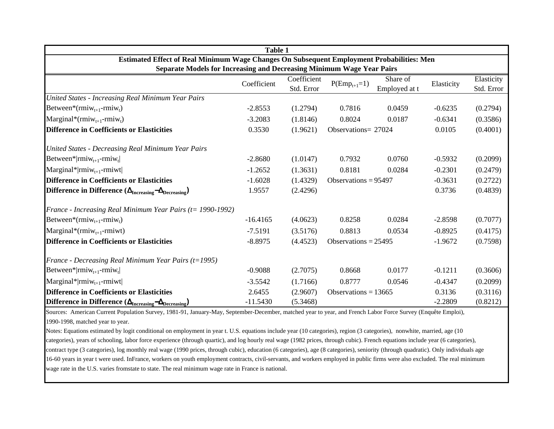|                                                                                           | Table 1     |                           |                        |                           |            |                          |
|-------------------------------------------------------------------------------------------|-------------|---------------------------|------------------------|---------------------------|------------|--------------------------|
| Estimated Effect of Real Minimum Wage Changes On Subsequent Employment Probabilities: Men |             |                           |                        |                           |            |                          |
| <b>Separate Models for Increasing and Decreasing Minimum Wage Year Pairs</b>              | Coefficient | Coefficient<br>Std. Error | $P(Emp_{t+1}=1)$       | Share of<br>Employed at t | Elasticity | Elasticity<br>Std. Error |
| United States - Increasing Real Minimum Year Pairs                                        |             |                           |                        |                           |            |                          |
| Between*( $rmiw_{t+1}$ - $rmiw_t$ )                                                       | $-2.8553$   | (1.2794)                  | 0.7816                 | 0.0459                    | $-0.6235$  | (0.2794)                 |
| $\text{Marginal}^*(\text{rmiw}_{t+1}\text{-rmiw}_t)$                                      | $-3.2083$   | (1.8146)                  | 0.8024                 | 0.0187                    | $-0.6341$  | (0.3586)                 |
| Difference in Coefficients or Elasticities                                                | 0.3530      | (1.9621)                  | Observations= 27024    |                           | 0.0105     | (0.4001)                 |
| <b>United States - Decreasing Real Minimum Year Pairs</b>                                 |             |                           |                        |                           |            |                          |
| Between* rmi $w_{t+1}$ -rmi $w_t$                                                         | $-2.8680$   | (1.0147)                  | 0.7932                 | 0.0760                    | $-0.5932$  | (0.2099)                 |
| $\text{Marginal*} \text{rmiw}_{t+1}\text{-rmiwt} $                                        | $-1.2652$   | (1.3631)                  | 0.8181                 | 0.0284                    | $-0.2301$  | (0.2479)                 |
| <b>Difference in Coefficients or Elasticities</b>                                         | $-1.6028$   | (1.4329)                  | Observations = $95497$ |                           | $-0.3631$  | (0.2722)                 |
| Difference in Difference $(\Delta_{\text{Increasing}} - \Delta_{\text{Decreasing}})$      | 1.9557      | (2.4296)                  |                        |                           | 0.3736     | (0.4839)                 |
| France - Increasing Real Minimum Year Pairs ( $t = 1990-1992$ )                           |             |                           |                        |                           |            |                          |
| Between*( $rmiw_{t+1}$ - $rmiw_t$ )                                                       | $-16.4165$  | (4.0623)                  | 0.8258                 | 0.0284                    | $-2.8598$  | (0.7077)                 |
| Marginal*( $rmiw_{t+1}$ -rmiwt)                                                           | $-7.5191$   | (3.5176)                  | 0.8813                 | 0.0534                    | $-0.8925$  | (0.4175)                 |
| <b>Difference in Coefficients or Elasticities</b>                                         | $-8.8975$   | (4.4523)                  | Observations = $25495$ |                           | $-1.9672$  | (0.7598)                 |
| France - Decreasing Real Minimum Year Pairs (t=1995)                                      |             |                           |                        |                           |            |                          |
| Between* rmi $w_{t+1}$ -rmi $w_t$                                                         | $-0.9088$   | (2.7075)                  | 0.8668                 | 0.0177                    | $-0.1211$  | (0.3606)                 |
| Marginal* $ $ rmiw <sub>t+1</sub> -rmiwt                                                  | $-3.5542$   | (1.7166)                  | 0.8777                 | 0.0546                    | $-0.4347$  | (0.2099)                 |
| <b>Difference in Coefficients or Elasticities</b>                                         | 2.6455      | (2.9607)                  | Observations = $13665$ |                           | 0.3136     | (0.3116)                 |
| Difference in Difference $(\Delta_{\text{Increasing}} - \Delta_{\text{Decreasing}})$      | $-11.5430$  | (5.3468)                  |                        |                           | $-2.2809$  | (0.8212)                 |

Sources: American Current Population Survey, 1981-91, January-May, September-December, matched year to year, and French Labor Force Survey (Enquête Emploi), 1990-1998, matched year to year.

Notes: Equations estimated by logit conditional on employment in year t. U.S. equations include year (10 categories), region (3 categories), nonwhite, married, age (10 categories), years of schooling, labor force experience (through quartic), and log hourly real wage (1982 prices, through cubic). French equations include year (6 categories), contract type (3 categories), log monthly real wage (1990 prices, through cubic), education (6 categories), age (8 categories), seniority (through quadratic). Only individuals age 16-60 years in year t were used. InFrance, workers on youth employment contracts, civil-servants, and workers employed in public firms were also excluded. The real minimum wage rate in the U.S. varies fromstate to state. The real minimum wage rate in France is national.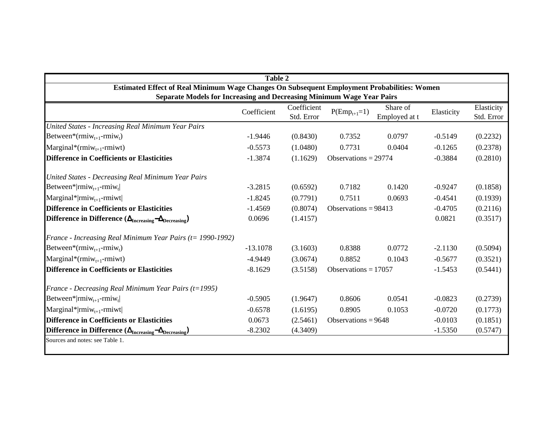|                                                                                             | <b>Table 2</b> |             |                        |               |            |            |
|---------------------------------------------------------------------------------------------|----------------|-------------|------------------------|---------------|------------|------------|
| Estimated Effect of Real Minimum Wage Changes On Subsequent Employment Probabilities: Women |                |             |                        |               |            |            |
| Separate Models for Increasing and Decreasing Minimum Wage Year Pairs                       |                | Coefficient |                        | Share of      |            | Elasticity |
|                                                                                             | Coefficient    | Std. Error  | $P(Emp_{t+1}=1)$       | Employed at t | Elasticity | Std. Error |
| United States - Increasing Real Minimum Year Pairs                                          |                |             |                        |               |            |            |
| Between*(rmi $w_{t+1}$ -rmi $w_t$ )                                                         | $-1.9446$      | (0.8430)    | 0.7352                 | 0.0797        | $-0.5149$  | (0.2232)   |
| $\text{Marginal}^*(\text{rmiw}_{t+1}\text{-rmiwt})$                                         | $-0.5573$      | (1.0480)    | 0.7731                 | 0.0404        | $-0.1265$  | (0.2378)   |
| <b>Difference in Coefficients or Elasticities</b>                                           | $-1.3874$      | (1.1629)    | Observations $= 29774$ |               | $-0.3884$  | (0.2810)   |
| United States - Decreasing Real Minimum Year Pairs                                          |                |             |                        |               |            |            |
| Between* $ $ rmiw <sub>t+1</sub> -rmiw <sub>t</sub> $ $                                     | $-3.2815$      | (0.6592)    | 0.7182                 | 0.1420        | $-0.9247$  | (0.1858)   |
| $\text{Marginal*}   \text{rmiw}_{t+1}$ -rmiwt                                               | $-1.8245$      | (0.7791)    | 0.7511                 | 0.0693        | $-0.4541$  | (0.1939)   |
| <b>Difference in Coefficients or Elasticities</b>                                           | $-1.4569$      | (0.8074)    | Observations = $98413$ |               | $-0.4705$  | (0.2116)   |
| Difference in Difference $(\Delta_{\text{Increasing}} - \Delta_{\text{Decreasing}})$        | 0.0696         | (1.4157)    |                        |               | 0.0821     | (0.3517)   |
| France - Increasing Real Minimum Year Pairs ( $t = 1990-1992$ )                             |                |             |                        |               |            |            |
| Between*( $rmiw_{t+1}$ - $rmiw_t$ )                                                         | $-13.1078$     | (3.1603)    | 0.8388                 | 0.0772        | $-2.1130$  | (0.5094)   |
| $\text{Marginal}^*(\text{rmiw}_{t+1}\text{-rmiwt})$                                         | $-4.9449$      | (3.0674)    | 0.8852                 | 0.1043        | $-0.5677$  | (0.3521)   |
| <b>Difference in Coefficients or Elasticities</b>                                           | $-8.1629$      | (3.5158)    | Observations = $17057$ |               | $-1.5453$  | (0.5441)   |
| France - Decreasing Real Minimum Year Pairs (t=1995)                                        |                |             |                        |               |            |            |
| Between* rmiw <sub>t+1</sub> -rmiw <sub>t</sub>                                             | $-0.5905$      | (1.9647)    | 0.8606                 | 0.0541        | $-0.0823$  | (0.2739)   |
| Marginal* rmiw <sub>t+1</sub> -rmiwt                                                        | $-0.6578$      | (1.6195)    | 0.8905                 | 0.1053        | $-0.0720$  | (0.1773)   |
| <b>Difference in Coefficients or Elasticities</b>                                           | 0.0673         | (2.5461)    | Observations = $9648$  |               | $-0.0103$  | (0.1851)   |
| Difference in Difference $(\Delta_{\text{Increasing}} - \Delta_{\text{Decreasing}})$        | $-8.2302$      | (4.3409)    |                        |               | $-1.5350$  | (0.5747)   |
| Sources and notes: see Table 1.                                                             |                |             |                        |               |            |            |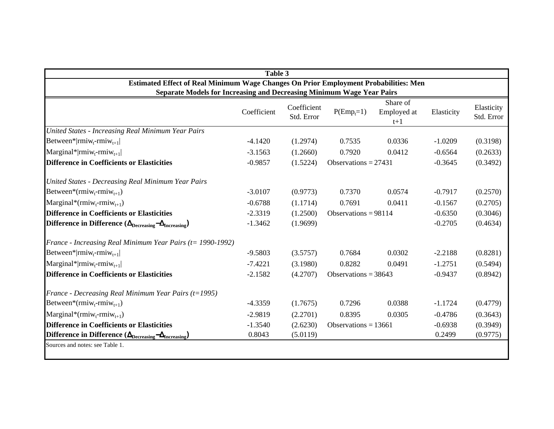|                                                                                        | Table 3     |                           |                        |                      |            |                          |
|----------------------------------------------------------------------------------------|-------------|---------------------------|------------------------|----------------------|------------|--------------------------|
| Estimated Effect of Real Minimum Wage Changes On Prior Employment Probabilities: Men   |             |                           |                        |                      |            |                          |
| <b>Separate Models for Increasing and Decreasing Minimum Wage Year Pairs</b>           |             |                           |                        | Share of             |            |                          |
|                                                                                        | Coefficient | Coefficient<br>Std. Error | $P(\text{Emp}_t=1)$    | Employed at<br>$t+1$ | Elasticity | Elasticity<br>Std. Error |
| United States - Increasing Real Minimum Year Pairs                                     |             |                           |                        |                      |            |                          |
| Between* rmiw <sub>t</sub> -rmiw <sub>t+1</sub>                                        | $-4.1420$   | (1.2974)                  | 0.7535                 | 0.0336               | $-1.0209$  | (0.3198)                 |
| $\text{Marginal*} \text{rmiw}_{t-} \text{rmiw}_{t+1} $                                 | $-3.1563$   | (1.2660)                  | 0.7920                 | 0.0412               | $-0.6564$  | (0.2633)                 |
| <b>Difference in Coefficients or Elasticities</b>                                      | $-0.9857$   | (1.5224)                  | Observations = $27431$ |                      | $-0.3645$  | (0.3492)                 |
| United States - Decreasing Real Minimum Year Pairs                                     |             |                           |                        |                      |            |                          |
| Between*( $rmin_{t}$ - $rmin_{t+1}$ )                                                  | $-3.0107$   | (0.9773)                  | 0.7370                 | 0.0574               | $-0.7917$  | (0.2570)                 |
| $\text{Marginal}^*(\text{rmiw}_t\text{-rmiw}_{t+1})$                                   | $-0.6788$   | (1.1714)                  | 0.7691                 | 0.0411               | $-0.1567$  | (0.2705)                 |
| <b>Difference in Coefficients or Elasticities</b>                                      | $-2.3319$   | (1.2500)                  | Observations = $98114$ |                      | $-0.6350$  | (0.3046)                 |
| Difference in Difference ( $\Delta_{\text{Decreasing}} - \Delta_{\text{Increasing}}$ ) | $-1.3462$   | (1.9699)                  |                        |                      | $-0.2705$  | (0.4634)                 |
| France - Increasing Real Minimum Year Pairs ( $t = 1990-1992$ )                        |             |                           |                        |                      |            |                          |
| Between* rmiw <sub>t</sub> -rmiw <sub>t+1</sub>                                        | $-9.5803$   | (3.5757)                  | 0.7684                 | 0.0302               | $-2.2188$  | (0.8281)                 |
| $\text{Marginal*} \text{rmiw}_{t} - \text{rmiw}_{t+1} $                                | $-7.4221$   | (3.1980)                  | 0.8282                 | 0.0491               | $-1.2751$  | (0.5494)                 |
| <b>Difference in Coefficients or Elasticities</b>                                      | $-2.1582$   | (4.2707)                  | Observations = $38643$ |                      | $-0.9437$  | (0.8942)                 |
| France - Decreasing Real Minimum Year Pairs ( $t=1995$ )                               |             |                           |                        |                      |            |                          |
| Between*(rmiw <sub>t</sub> -rmiw <sub>t+1</sub> )                                      | $-4.3359$   | (1.7675)                  | 0.7296                 | 0.0388               | $-1.1724$  | (0.4779)                 |
| $\text{Marginal}^*(\text{rmiw}_t\text{-rmiw}_{t+1})$                                   | $-2.9819$   | (2.2701)                  | 0.8395                 | 0.0305               | $-0.4786$  | (0.3643)                 |
| <b>Difference in Coefficients or Elasticities</b>                                      | $-1.3540$   | (2.6230)                  | Observations = $13661$ |                      | $-0.6938$  | (0.3949)                 |
| Difference in Difference ( $\Delta_{\text{Decreasing}} - \Delta_{\text{Increasing}}$ ) | 0.8043      | (5.0119)                  |                        |                      | 0.2499     | (0.9775)                 |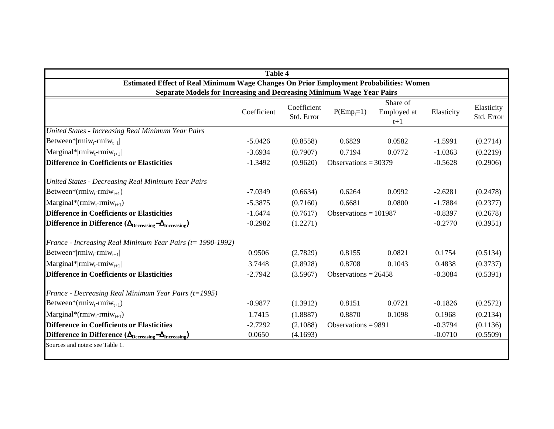|                                                                                        | <b>Table 4</b> |                           |                         |                                  |            |                          |
|----------------------------------------------------------------------------------------|----------------|---------------------------|-------------------------|----------------------------------|------------|--------------------------|
| Estimated Effect of Real Minimum Wage Changes On Prior Employment Probabilities: Women |                |                           |                         |                                  |            |                          |
| <b>Separate Models for Increasing and Decreasing Minimum Wage Year Pairs</b>           |                |                           |                         |                                  |            |                          |
|                                                                                        | Coefficient    | Coefficient<br>Std. Error | $P(\text{Emp}_t=1)$     | Share of<br>Employed at<br>$t+1$ | Elasticity | Elasticity<br>Std. Error |
| United States - Increasing Real Minimum Year Pairs                                     |                |                           |                         |                                  |            |                          |
| Between* rmiw <sub>t</sub> -rmiw <sub>t+1</sub>                                        | $-5.0426$      | (0.8558)                  | 0.6829                  | 0.0582                           | $-1.5991$  | (0.2714)                 |
| $\text{Marginal*}   \text{rmiw}_{t} \text{-rmiw}_{t+1}  $                              | $-3.6934$      | (0.7907)                  | 0.7194                  | 0.0772                           | $-1.0363$  | (0.2219)                 |
| Difference in Coefficients or Elasticities                                             | $-1.3492$      | (0.9620)                  | Observations = $30379$  |                                  | $-0.5628$  | (0.2906)                 |
| United States - Decreasing Real Minimum Year Pairs                                     |                |                           |                         |                                  |            |                          |
| Between*(rmiw <sub>t</sub> -rmiw <sub>t+1</sub> )                                      | $-7.0349$      | (0.6634)                  | 0.6264                  | 0.0992                           | $-2.6281$  | (0.2478)                 |
| Marginal*(rmiw <sub>t</sub> -rmiw <sub>t+1</sub> )                                     | $-5.3875$      | (0.7160)                  | 0.6681                  | 0.0800                           | $-1.7884$  | (0.2377)                 |
| <b>Difference in Coefficients or Elasticities</b>                                      | $-1.6474$      | (0.7617)                  | Observations = $101987$ |                                  | $-0.8397$  | (0.2678)                 |
| Difference in Difference $(\Delta_{\text{Decreasing}} - \Delta_{\text{Increasing}})$   | $-0.2982$      | (1.2271)                  |                         |                                  | $-0.2770$  | (0.3951)                 |
| France - Increasing Real Minimum Year Pairs ( $t = 1990-1992$ )                        |                |                           |                         |                                  |            |                          |
| Between* rmiw <sub>t</sub> -rmiw <sub>t+1</sub>                                        | 0.9506         | (2.7829)                  | 0.8155                  | 0.0821                           | 0.1754     | (0.5134)                 |
| $\text{Marginal*} \text{rmiw}_{t} - \text{rmiw}_{t+1} $                                | 3.7448         | (2.8928)                  | 0.8708                  | 0.1043                           | 0.4838     | (0.3737)                 |
| Difference in Coefficients or Elasticities                                             | $-2.7942$      | (3.5967)                  | Observations = $26458$  |                                  | $-0.3084$  | (0.5391)                 |
| France - Decreasing Real Minimum Year Pairs (t=1995)                                   |                |                           |                         |                                  |            |                          |
| Between*( $rmiw_t$ - $rmiw_{t+1}$ )                                                    | $-0.9877$      | (1.3912)                  | 0.8151                  | 0.0721                           | $-0.1826$  | (0.2572)                 |
| $\text{Marginal}^*(\text{rmiw}_t\text{-rmiw}_{t+1})$                                   | 1.7415         | (1.8887)                  | 0.8870                  | 0.1098                           | 0.1968     | (0.2134)                 |
| <b>Difference in Coefficients or Elasticities</b>                                      | $-2.7292$      | (2.1088)                  | Observations = $9891$   |                                  | $-0.3794$  | (0.1136)                 |
| Difference in Difference ( $\Delta_{\text{Decreasing}} - \Delta_{\text{Increasing}}$ ) | 0.0650         | (4.1693)                  |                         |                                  | $-0.0710$  | (0.5509)                 |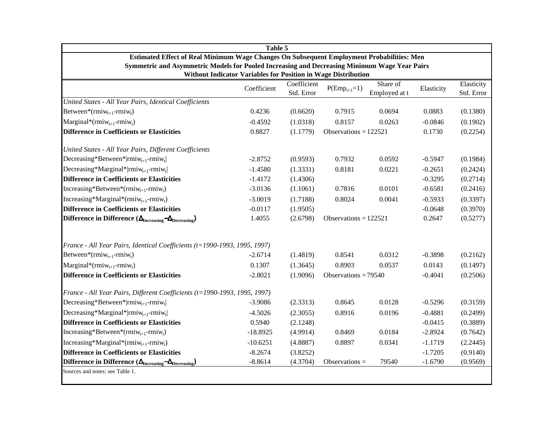| Table 5                                                                                      |             |                           |                         |               |            |                          |  |  |
|----------------------------------------------------------------------------------------------|-------------|---------------------------|-------------------------|---------------|------------|--------------------------|--|--|
| Estimated Effect of Real Minimum Wage Changes On Subsequent Employment Probabilities: Men    |             |                           |                         |               |            |                          |  |  |
| Symmetric and Asymmetric Models for Pooled Increasing and Decreasing Minimum Wage Year Pairs |             |                           |                         |               |            |                          |  |  |
| Without Indicator Variables for Position in Wage Distribution                                |             |                           |                         | Share of      |            |                          |  |  |
|                                                                                              | Coefficient | Coefficient<br>Std. Error | $P(Emp_{t+1}=1)$        | Employed at t | Elasticity | Elasticity<br>Std. Error |  |  |
| United States - All Year Pairs, Identical Coefficients                                       |             |                           |                         |               |            |                          |  |  |
| Between*( $rmiw_{t+1}$ - $rmiw_t$ )                                                          | 0.4236      | (0.6620)                  | 0.7915                  | 0.0694        | 0.0883     | (0.1380)                 |  |  |
| Marginal*(rmiw <sub>t+1</sub> -rmiw <sub>t</sub> )                                           | $-0.4592$   | (1.0318)                  | 0.8157                  | 0.0263        | $-0.0846$  | (0.1902)                 |  |  |
| <b>Difference in Coefficients or Elasticities</b>                                            | 0.8827      | (1.1779)                  | Observations = $122521$ |               | 0.1730     | (0.2254)                 |  |  |
| United States - All Year Pairs, Different Coefficients                                       |             |                           |                         |               |            |                          |  |  |
| Decreasing*Between* rmiw <sub>t+1</sub> -rmiw <sub>t</sub>                                   | $-2.8752$   | (0.9593)                  | 0.7932                  | 0.0592        | $-0.5947$  | (0.1984)                 |  |  |
| Decreasing*Marginal* rmiw <sub>t+1</sub> -rmiw <sub>t</sub>                                  | $-1.4580$   | (1.3331)                  | 0.8181                  | 0.0221        | $-0.2651$  | (0.2424)                 |  |  |
| <b>Difference in Coefficients or Elasticities</b>                                            | $-1.4172$   | (1.4306)                  |                         |               | $-0.3295$  | (0.2714)                 |  |  |
| Increasing*Between*( $rmiw_{t+1}$ - $rmiw_t$ )                                               | $-3.0136$   | (1.1061)                  | 0.7816                  | 0.0101        | $-0.6581$  | (0.2416)                 |  |  |
| Increasing*Marginal*(rmiw <sub>t+1</sub> -rmiwt)                                             | $-3.0019$   | (1.7188)                  | 0.8024                  | 0.0041        | $-0.5933$  | (0.3397)                 |  |  |
| Difference in Coefficients or Elasticities                                                   | $-0.0117$   | (1.9505)                  |                         |               | $-0.0648$  | (0.3970)                 |  |  |
| Difference in Difference $(\Delta_{\text{Increasing}} - \Delta_{\text{Decreasing}})$         | 1.4055      | (2.6798)                  | Observations = $122521$ |               | 0.2647     | (0.5277)                 |  |  |
| France - All Year Pairs, Identical Coefficients (t=1990-1993, 1995, 1997)                    |             |                           |                         |               |            |                          |  |  |
| Between*( $rmiw_{t+1}$ - $rmiw_t$ )                                                          | $-2.6714$   | (1.4819)                  | 0.8541                  | 0.0312        | $-0.3898$  | (0.2162)                 |  |  |
| Marginal*(rmiw <sub>t+1</sub> -rmiw <sub>t</sub> )                                           | 0.1307      | (1.3645)                  | 0.8903                  | 0.0537        | 0.0143     | (0.1497)                 |  |  |
| <b>Difference in Coefficients or Elasticities</b>                                            | $-2.8021$   | (1.9096)                  | Observations = $79540$  |               | $-0.4041$  | (0.2506)                 |  |  |
| France - All Year Pairs, Different Coefficients (t=1990-1993, 1995, 1997)                    |             |                           |                         |               |            |                          |  |  |
| Decreasing*Between* rmiw <sub>t+1</sub> -rmiw <sub>t</sub>                                   | $-3.9086$   | (2.3313)                  | 0.8645                  | 0.0128        | $-0.5296$  | (0.3159)                 |  |  |
| Decreasing*Marginal* rmi $w_{t+1}$ -rmi $w_t$                                                | $-4.5026$   | (2.3055)                  | 0.8916                  | 0.0196        | $-0.4881$  | (0.2499)                 |  |  |
| <b>Difference in Coefficients or Elasticities</b>                                            | 0.5940      | (2.1248)                  |                         |               | $-0.0415$  | (0.3889)                 |  |  |
| Increasing*Between*( $rmiw_{t+1}$ - $rmiw_t$ )                                               | $-18.8925$  | (4.9914)                  | 0.8469                  | 0.0184        | $-2.8924$  | (0.7642)                 |  |  |
| Increasing*Marginal*( $rmiw_{t+1}$ - $rmiw_t$ )                                              | $-10.6251$  | (4.8887)                  | 0.8897                  | 0.0341        | $-1.1719$  | (2.2445)                 |  |  |
| <b>Difference in Coefficients or Elasticities</b>                                            | $-8.2674$   | (3.8252)                  |                         |               | $-1.7205$  | (0.9140)                 |  |  |
| Difference in Difference $(\Delta_{\text{Increasing}} - \Delta_{\text{Decreasing}})$         | $-8.8614$   | (4.3704)                  | Observations $=$        | 79540         | $-1.6790$  | (0.9569)                 |  |  |
| Sources and notes: see Table 1.                                                              |             |                           |                         |               |            |                          |  |  |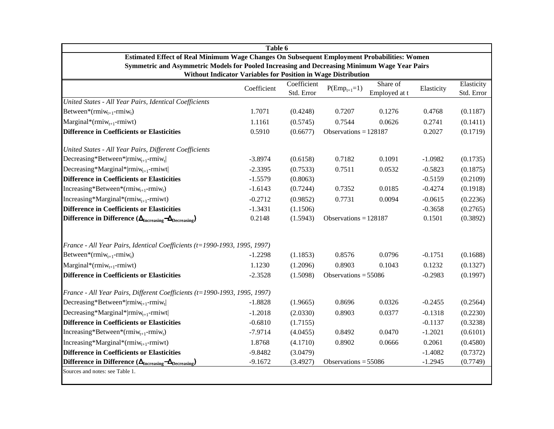| Table 6                                                                                      |             |             |                         |               |            |            |  |  |  |
|----------------------------------------------------------------------------------------------|-------------|-------------|-------------------------|---------------|------------|------------|--|--|--|
| Estimated Effect of Real Minimum Wage Changes On Subsequent Employment Probabilities: Women  |             |             |                         |               |            |            |  |  |  |
| Symmetric and Asymmetric Models for Pooled Increasing and Decreasing Minimum Wage Year Pairs |             |             |                         |               |            |            |  |  |  |
| Without Indicator Variables for Position in Wage Distribution                                |             | Coefficient |                         | Share of      |            | Elasticity |  |  |  |
|                                                                                              | Coefficient | Std. Error  | $P(Emp_{t+1}=1)$        | Employed at t | Elasticity | Std. Error |  |  |  |
| United States - All Year Pairs, Identical Coefficients                                       |             |             |                         |               |            |            |  |  |  |
| Between*( $rmiw_{t+1}$ - $rmiw_t$ )                                                          | 1.7071      | (0.4248)    | 0.7207                  | 0.1276        | 0.4768     | (0.1187)   |  |  |  |
| Marginal*(rmi $w_{t+1}$ -rmiwt)                                                              | 1.1161      | (0.5745)    | 0.7544                  | 0.0626        | 0.2741     | (0.1411)   |  |  |  |
| <b>Difference in Coefficients or Elasticities</b>                                            | 0.5910      | (0.6677)    | Observations = $128187$ |               | 0.2027     | (0.1719)   |  |  |  |
| United States - All Year Pairs, Different Coefficients                                       |             |             |                         |               |            |            |  |  |  |
| Decreasing*Between* rmiw <sub>t+1</sub> -rmiw <sub>t</sub>                                   | $-3.8974$   | (0.6158)    | 0.7182                  | 0.1091        | $-1.0982$  | (0.1735)   |  |  |  |
| Decreasing*Marginal* rmi $w_{t+1}$ -rmiwt                                                    | $-2.3395$   | (0.7533)    | 0.7511                  | 0.0532        | $-0.5823$  | (0.1875)   |  |  |  |
| <b>Difference in Coefficients or Elasticities</b>                                            | $-1.5579$   | (0.8063)    |                         |               | $-0.5159$  | (0.2109)   |  |  |  |
| Increasing*Between*( $rmiw_{t+1}$ - $rmiw_t$ )                                               | $-1.6143$   | (0.7244)    | 0.7352                  | 0.0185        | $-0.4274$  | (0.1918)   |  |  |  |
| Increasing*Marginal*( $rmiw_{t+1}$ -rmiwt)                                                   | $-0.2712$   | (0.9852)    | 0.7731                  | 0.0094        | $-0.0615$  | (0.2236)   |  |  |  |
| <b>Difference in Coefficients or Elasticities</b>                                            | $-1.3431$   | (1.1506)    |                         |               | $-0.3658$  | (0.2765)   |  |  |  |
| Difference in Difference $(\Delta_{\text{Increasing}} - \Delta_{\text{Decreasing}})$         | 0.2148      | (1.5943)    | Observations = $128187$ |               | 0.1501     | (0.3892)   |  |  |  |
| France - All Year Pairs, Identical Coefficients (t=1990-1993, 1995, 1997)                    |             |             |                         |               |            |            |  |  |  |
| Between*( $rmiw_{t+1}$ - $rmiw_t$ )                                                          | $-1.2298$   | (1.1853)    | 0.8576                  | 0.0796        | $-0.1751$  | (0.1688)   |  |  |  |
| $Marginal*(rmiw_{t+1}-rmiwt)$                                                                | 1.1230      | (1.2096)    | 0.8903                  | 0.1043        | 0.1232     | (0.1327)   |  |  |  |
| <b>Difference in Coefficients or Elasticities</b>                                            | $-2.3528$   | (1.5098)    | Observations = $55086$  |               | $-0.2983$  | (0.1997)   |  |  |  |
| France - All Year Pairs, Different Coefficients (t=1990-1993, 1995, 1997)                    |             |             |                         |               |            |            |  |  |  |
| Decreasing*Between* rmiw <sub>t+1</sub> -rmiw <sub>t</sub>                                   | $-1.8828$   | (1.9665)    | 0.8696                  | 0.0326        | $-0.2455$  | (0.2564)   |  |  |  |
| Decreasing*Marginal* rmiw <sub>t+1</sub> -rmiwt                                              | $-1.2018$   | (2.0330)    | 0.8903                  | 0.0377        | $-0.1318$  | (0.2230)   |  |  |  |
| <b>Difference in Coefficients or Elasticities</b>                                            | $-0.6810$   | (1.7155)    |                         |               | $-0.1137$  | (0.3238)   |  |  |  |
| Increasing*Between*(rmiw <sub>t+1</sub> -rmiw <sub>t</sub> )                                 | $-7.9714$   | (4.0455)    | 0.8492                  | 0.0470        | $-1.2021$  | (0.6101)   |  |  |  |
| Increasing*Marginal*( $rmiw_{t+1}$ -rmiwt)                                                   | 1.8768      | (4.1710)    | 0.8902                  | 0.0666        | 0.2061     | (0.4580)   |  |  |  |
| <b>Difference in Coefficients or Elasticities</b>                                            | $-9.8482$   | (3.0479)    |                         |               | $-1.4082$  | (0.7372)   |  |  |  |
| Difference in Difference $(\Delta_{\text{Increasing}} - \Delta_{\text{Decreasing}})$         | $-9.1672$   | (3.4927)    | Observations = $55086$  |               | $-1.2945$  | (0.7749)   |  |  |  |
| Sources and notes: see Table 1.                                                              |             |             |                         |               |            |            |  |  |  |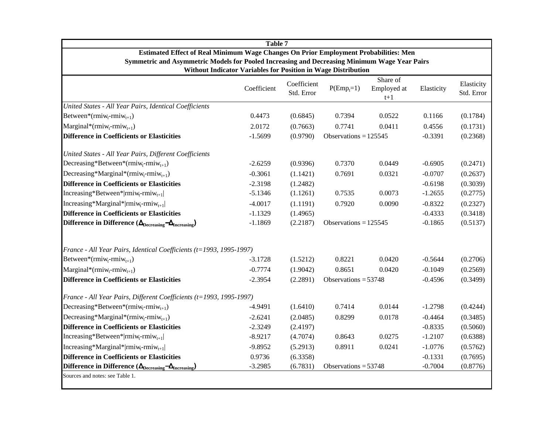|                                                                                              | <b>Table 7</b>                                                |                           |                         |                      |            |                          |
|----------------------------------------------------------------------------------------------|---------------------------------------------------------------|---------------------------|-------------------------|----------------------|------------|--------------------------|
| Estimated Effect of Real Minimum Wage Changes On Prior Employment Probabilities: Men         |                                                               |                           |                         |                      |            |                          |
| Symmetric and Asymmetric Models for Pooled Increasing and Decreasing Minimum Wage Year Pairs | Without Indicator Variables for Position in Wage Distribution |                           |                         |                      |            |                          |
|                                                                                              |                                                               |                           |                         | Share of             |            |                          |
|                                                                                              | Coefficient                                                   | Coefficient<br>Std. Error | $P(Emp_t=1)$            | Employed at<br>$t+1$ | Elasticity | Elasticity<br>Std. Error |
| United States - All Year Pairs, Identical Coefficients                                       |                                                               |                           |                         |                      |            |                          |
| Between*(rmiw <sub>t</sub> -rmiw <sub>t+1</sub> )                                            | 0.4473                                                        | (0.6845)                  | 0.7394                  | 0.0522               | 0.1166     | (0.1784)                 |
| Marginal*(rmiw <sub>t</sub> -rmiw <sub>t+1</sub> )                                           | 2.0172                                                        | (0.7663)                  | 0.7741                  | 0.0411               | 0.4556     | (0.1731)                 |
| <b>Difference in Coefficients or Elasticities</b>                                            | $-1.5699$                                                     | (0.9790)                  | Observations = $125545$ |                      | $-0.3391$  | (0.2368)                 |
| United States - All Year Pairs, Different Coefficients                                       |                                                               |                           |                         |                      |            |                          |
| Decreasing*Between*(rmiw <sub>t</sub> -rmiw <sub>t+1</sub> )                                 | $-2.6259$                                                     | (0.9396)                  | 0.7370                  | 0.0449               | $-0.6905$  | (0.2471)                 |
| Decreasing*Marginal*( $rmin_{t}$ - $rmin_{t+1}$ )                                            | $-0.3061$                                                     | (1.1421)                  | 0.7691                  | 0.0321               | $-0.0707$  | (0.2637)                 |
| <b>Difference in Coefficients or Elasticities</b>                                            | $-2.3198$                                                     | (1.2482)                  |                         |                      | $-0.6198$  | (0.3039)                 |
| Increasing*Between* rmiw <sub>t</sub> -rmiw <sub>t+1</sub>                                   | $-5.1346$                                                     | (1.1261)                  | 0.7535                  | 0.0073               | $-1.2655$  | (0.2775)                 |
| Increasing*Marginal* rmiw <sub>t</sub> -rmiw <sub>t+1</sub>                                  | $-4.0017$                                                     | (1.1191)                  | 0.7920                  | 0.0090               | $-0.8322$  | (0.2327)                 |
| <b>Difference in Coefficients or Elasticities</b>                                            | $-1.1329$                                                     | (1.4965)                  |                         |                      | $-0.4333$  | (0.3418)                 |
| Difference in Difference $(\Delta_{\text{Decreasing}} - \Delta_{\text{Increasing}})$         | $-1.1869$                                                     | (2.2187)                  | Observations = $125545$ |                      | $-0.1865$  | (0.5137)                 |
| France - All Year Pairs, Identical Coefficients (t=1993, 1995-1997)                          |                                                               |                           |                         |                      |            |                          |
| Between*(rmiw <sub>t</sub> -rmiw <sub>t+1</sub> )                                            | $-3.1728$                                                     | (1.5212)                  | 0.8221                  | 0.0420               | $-0.5644$  | (0.2706)                 |
| Marginal*(rmiw <sub>t</sub> -rmiw <sub>t+1</sub> )                                           | $-0.7774$                                                     | (1.9042)                  | 0.8651                  | 0.0420               | $-0.1049$  | (0.2569)                 |
| Difference in Coefficients or Elasticities                                                   | $-2.3954$                                                     | (2.2891)                  | Observations = $53748$  |                      | $-0.4596$  | (0.3499)                 |
| France - All Year Pairs, Different Coefficients (t=1993, 1995-1997)                          |                                                               |                           |                         |                      |            |                          |
| Decreasing*Between*( $rmin_{t-1}$ )                                                          | $-4.9491$                                                     | (1.6410)                  | 0.7414                  | 0.0144               | $-1.2798$  | (0.4244)                 |
| Decreasing*Marginal*(rmiw <sub>t</sub> -rmiw <sub>t+1</sub> )                                | $-2.6241$                                                     | (2.0485)                  | 0.8299                  | 0.0178               | $-0.4464$  | (0.3485)                 |
| <b>Difference in Coefficients or Elasticities</b>                                            | $-2.3249$                                                     | (2.4197)                  |                         |                      | $-0.8335$  | (0.5060)                 |
| Increasing*Between* rmiw <sub>t</sub> -rmiw <sub>t+1</sub>                                   | $-8.9217$                                                     | (4.7074)                  | 0.8643                  | 0.0275               | $-1.2107$  | (0.6388)                 |
| Increasing*Marginal* rmiw <sub>t</sub> -rmiw <sub>t+1</sub>                                  | $-9.8952$                                                     | (5.2913)                  | 0.8911                  | 0.0241               | $-1.0776$  | (0.5762)                 |
| <b>Difference in Coefficients or Elasticities</b>                                            | 0.9736                                                        | (6.3358)                  |                         |                      | $-0.1331$  | (0.7695)                 |
| Difference in Difference $(\Delta_{\text{Decreasing}} - \Delta_{\text{Increasing}})$         | $-3.2985$                                                     | (6.7831)                  | Observations = $53748$  |                      | $-0.7004$  | (0.8776)                 |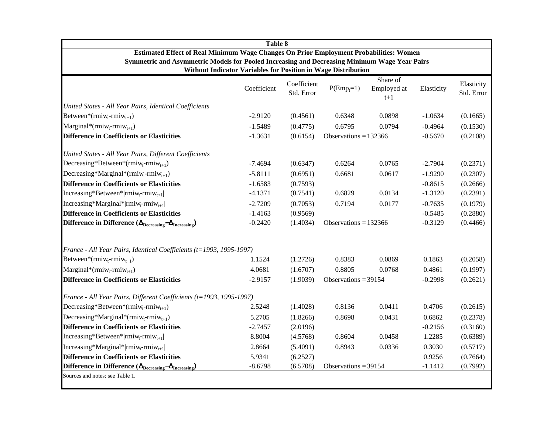|                                                                                              | <b>Table 8</b>                                                |                           |                         |                                  |            |                          |
|----------------------------------------------------------------------------------------------|---------------------------------------------------------------|---------------------------|-------------------------|----------------------------------|------------|--------------------------|
| Estimated Effect of Real Minimum Wage Changes On Prior Employment Probabilities: Women       |                                                               |                           |                         |                                  |            |                          |
| Symmetric and Asymmetric Models for Pooled Increasing and Decreasing Minimum Wage Year Pairs | Without Indicator Variables for Position in Wage Distribution |                           |                         |                                  |            |                          |
|                                                                                              | Coefficient                                                   | Coefficient<br>Std. Error | $P(\text{Emp}_t=1)$     | Share of<br>Employed at<br>$t+1$ | Elasticity | Elasticity<br>Std. Error |
| United States - All Year Pairs, Identical Coefficients                                       |                                                               |                           |                         |                                  |            |                          |
| Between*(rmiw <sub>t-rmiw<sub>t+1</sub>)</sub>                                               | $-2.9120$                                                     | (0.4561)                  | 0.6348                  | 0.0898                           | $-1.0634$  | (0.1665)                 |
| Marginal*(rmiw <sub>r</sub> -rmiw <sub>t+1</sub> )                                           | $-1.5489$                                                     | (0.4775)                  | 0.6795                  | 0.0794                           | $-0.4964$  | (0.1530)                 |
| <b>Difference in Coefficients or Elasticities</b>                                            | $-1.3631$                                                     | (0.6154)                  | Observations = $132366$ |                                  | $-0.5670$  | (0.2108)                 |
| United States - All Year Pairs, Different Coefficients                                       |                                                               |                           |                         |                                  |            |                          |
| Decreasing*Between*(rmiw <sub>t</sub> -rmiw <sub>t+1</sub> )                                 | $-7.4694$                                                     | (0.6347)                  | 0.6264                  | 0.0765                           | $-2.7904$  | (0.2371)                 |
| Decreasing*Marginal*( $rmin_{t+1}$ )                                                         | $-5.8111$                                                     | (0.6951)                  | 0.6681                  | 0.0617                           | $-1.9290$  | (0.2307)                 |
| <b>Difference in Coefficients or Elasticities</b>                                            | $-1.6583$                                                     | (0.7593)                  |                         |                                  | $-0.8615$  | (0.2666)                 |
| Increasing*Between* rmiw <sub>t</sub> -rmiw <sub>t+1</sub>                                   | $-4.1371$                                                     | (0.7541)                  | 0.6829                  | 0.0134                           | $-1.3120$  | (0.2391)                 |
| Increasing*Marginal* rmiw <sub>t</sub> -rmiw <sub>t+1</sub>                                  | $-2.7209$                                                     | (0.7053)                  | 0.7194                  | 0.0177                           | $-0.7635$  | (0.1979)                 |
| <b>Difference in Coefficients or Elasticities</b>                                            | $-1.4163$                                                     | (0.9569)                  |                         |                                  | $-0.5485$  | (0.2880)                 |
| Difference in Difference $(\Delta_{\text{Decreasing}} - \Delta_{\text{Increasing}})$         | $-0.2420$                                                     | (1.4034)                  | Observations = $132366$ |                                  | $-0.3129$  | (0.4466)                 |
| France - All Year Pairs, Identical Coefficients (t=1993, 1995-1997)                          |                                                               |                           |                         |                                  |            |                          |
| Between*( $rmiw_t$ - $rmiw_{t+1}$ )                                                          | 1.1524                                                        | (1.2726)                  | 0.8383                  | 0.0869                           | 0.1863     | (0.2058)                 |
| Marginal*(rmiw <sub>t</sub> -rmiw <sub>t+1</sub> )                                           | 4.0681                                                        | (1.6707)                  | 0.8805                  | 0.0768                           | 0.4861     | (0.1997)                 |
| <b>Difference in Coefficients or Elasticities</b>                                            | $-2.9157$                                                     | (1.9039)                  | Observations = $39154$  |                                  | $-0.2998$  | (0.2621)                 |
| France - All Year Pairs, Different Coefficients (t=1993, 1995-1997)                          |                                                               |                           |                         |                                  |            |                          |
| Decreasing*Between*( $rmin_{t-1}$ )                                                          | 2.5248                                                        | (1.4028)                  | 0.8136                  | 0.0411                           | 0.4706     | (0.2615)                 |
| Decreasing*Marginal*(rmiw <sub>t</sub> -rmiw <sub>t+1</sub> )                                | 5.2705                                                        | (1.8266)                  | 0.8698                  | 0.0431                           | 0.6862     | (0.2378)                 |
| <b>Difference in Coefficients or Elasticities</b>                                            | $-2.7457$                                                     | (2.0196)                  |                         |                                  | $-0.2156$  | (0.3160)                 |
| Increasing*Between* rmiw <sub>t</sub> -rmiw <sub>t+1</sub>                                   | 8.8004                                                        | (4.5768)                  | 0.8604                  | 0.0458                           | 1.2285     | (0.6389)                 |
| Increasing*Marginal* rmiw <sub>t</sub> -rmiw <sub>t+1</sub>                                  | 2.8664                                                        | (5.4091)                  | 0.8943                  | 0.0336                           | 0.3030     | (0.5717)                 |
| <b>Difference in Coefficients or Elasticities</b>                                            | 5.9341                                                        | (6.2527)                  |                         |                                  | 0.9256     | (0.7664)                 |
| Difference in Difference $(\Delta_{\text{Decreasing}} - \Delta_{\text{Increasing}})$         | $-8.6798$                                                     | (6.5708)                  | Observations = $39154$  |                                  | $-1.1412$  | (0.7992)                 |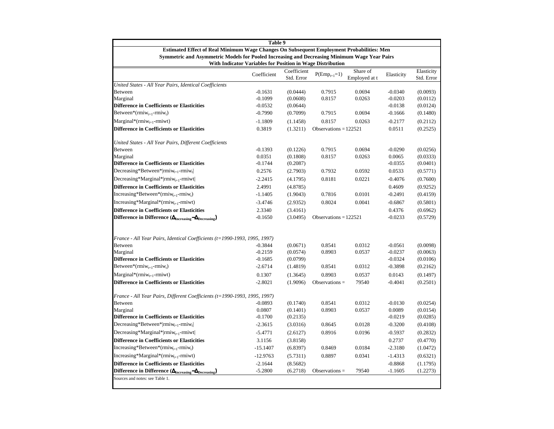| Table 9                                                                                                                                                    |             |                           |                             |                           |            |                          |  |  |
|------------------------------------------------------------------------------------------------------------------------------------------------------------|-------------|---------------------------|-----------------------------|---------------------------|------------|--------------------------|--|--|
| Estimated Effect of Real Minimum Wage Changes On Subsequent Employment Probabilities: Men                                                                  |             |                           |                             |                           |            |                          |  |  |
| Symmetric and Asymmetric Models for Pooled Increasing and Decreasing Minimum Wage Year Pairs<br>With Indicator Variables for Position in Wage Distribution |             |                           |                             |                           |            |                          |  |  |
|                                                                                                                                                            | Coefficient | Coefficient<br>Std. Error | $P(\mathrm{Emp}_{t+1}{=}1)$ | Share of<br>Employed at t | Elasticity | Elasticity<br>Std. Error |  |  |
| United States - All Year Pairs, Identical Coefficients                                                                                                     |             |                           |                             |                           |            |                          |  |  |
| Between                                                                                                                                                    | $-0.1631$   | (0.0444)                  | 0.7915                      | 0.0694                    | $-0.0340$  | (0.0093)                 |  |  |
| Marginal                                                                                                                                                   | $-0.1099$   | (0.0608)                  | 0.8157                      | 0.0263                    | $-0.0203$  | (0.0112)                 |  |  |
| <b>Difference in Coefficients or Elasticities</b>                                                                                                          | $-0.0532$   | (0.0644)                  |                             |                           | $-0.0138$  | (0.0124)                 |  |  |
| Between*( $rmiw_{t+1}$ - $rmiw_t$ )                                                                                                                        | $-0.7990$   | (0.7099)                  | 0.7915                      | 0.0694                    | $-0.1666$  | (0.1480)                 |  |  |
| $Marginal*(rmiw_{t+1}-rmiwt)$                                                                                                                              | $-1.1809$   | (1.1458)                  | 0.8157                      | 0.0263                    | $-0.2177$  | (0.2112)                 |  |  |
| <b>Difference in Coefficients or Elasticities</b>                                                                                                          | 0.3819      | (1.3211)                  | Observations = $122521$     |                           | 0.0511     | (0.2525)                 |  |  |
| United States - All Year Pairs, Different Coefficients                                                                                                     |             |                           |                             |                           |            |                          |  |  |
| <b>Between</b>                                                                                                                                             | $-0.1393$   | (0.1226)                  | 0.7915                      | 0.0694                    | $-0.0290$  | (0.0256)                 |  |  |
| Marginal                                                                                                                                                   | 0.0351      | (0.1808)                  | 0.8157                      | 0.0263                    | 0.0065     | (0.0333)                 |  |  |
| <b>Difference in Coefficients or Elasticities</b>                                                                                                          | $-0.1744$   | (0.2087)                  |                             |                           | $-0.0355$  | (0.0401)                 |  |  |
| Decreasing*Between*  $rmin_{t+1}$ - $rmin_{t}$                                                                                                             | 0.2576      | (2.7903)                  | 0.7932                      | 0.0592                    | 0.0533     | (0.5771)                 |  |  |
| Decreasing*Marginal* rmiw <sub>t+1</sub> -rmiwt                                                                                                            | $-2.2415$   | (4.1795)                  | 0.8181                      | 0.0221                    | $-0.4076$  | (0.7600)                 |  |  |
| <b>Difference in Coefficients or Elasticities</b>                                                                                                          | 2.4991      | (4.8785)                  |                             |                           | 0.4609     | (0.9252)                 |  |  |
| $Increasing*Between*(rmiw_{t+1}-rmiw_t)$                                                                                                                   | $-1.1405$   | (1.9043)                  | 0.7816                      | 0.0101                    | $-0.2491$  | (0.4159)                 |  |  |
| $Increasing*Marginal*(rmiw_{t+1}-rmiwt)$                                                                                                                   | $-3.4746$   | (2.9352)                  | 0.8024                      | 0.0041                    | $-0.6867$  | (0.5801)                 |  |  |
| <b>Difference in Coefficients or Elasticities</b>                                                                                                          | 2.3340      | (3.4161)                  |                             |                           | 0.4376     | (0.6962)                 |  |  |
| Difference in Difference $(\Delta_{\text{Increasing}} - \Delta_{\text{Decreasing}})$                                                                       | $-0.1650$   | (3.0495)                  | Observations = $122521$     |                           | $-0.0233$  | (0.5729)                 |  |  |
|                                                                                                                                                            |             |                           |                             |                           |            |                          |  |  |
| France - All Year Pairs, Identical Coefficients (t=1990-1993, 1995, 1997)                                                                                  |             |                           |                             |                           |            |                          |  |  |
| <b>Between</b>                                                                                                                                             | $-0.3844$   | (0.0671)                  | 0.8541                      | 0.0312                    | $-0.0561$  | (0.0098)                 |  |  |
| Marginal                                                                                                                                                   | $-0.2159$   | (0.0574)                  | 0.8903                      | 0.0537                    | $-0.0237$  | (0.0063)                 |  |  |
| <b>Difference in Coefficients or Elasticities</b>                                                                                                          | $-0.1685$   | (0.0799)                  |                             |                           | $-0.0324$  | (0.0106)                 |  |  |
| Between*( $rmiw_{t+1}$ - $rmiw_t$ )                                                                                                                        | $-2.6714$   | (1.4819)                  | 0.8541                      | 0.0312                    | $-0.3898$  | (0.2162)                 |  |  |
| $Marginal*(rmiw_{t+1}-rmiwt)$                                                                                                                              | 0.1307      | (1.3645)                  | 0.8903                      | 0.0537                    | 0.0143     | (0.1497)                 |  |  |
| <b>Difference in Coefficients or Elasticities</b>                                                                                                          | $-2.8021$   | (1.9096)                  | Observations $=$            | 79540                     | $-0.4041$  | (0.2501)                 |  |  |
| France - All Year Pairs, Different Coefficients (t=1990-1993, 1995, 1997)                                                                                  |             |                           |                             |                           |            |                          |  |  |
| <b>Between</b>                                                                                                                                             | $-0.0893$   | (0.1740)                  | 0.8541                      | 0.0312                    | $-0.0130$  | (0.0254)                 |  |  |
| Marginal                                                                                                                                                   | 0.0807      | (0.1401)                  | 0.8903                      | 0.0537                    | 0.0089     | (0.0154)                 |  |  |
| <b>Difference in Coefficients or Elasticities</b>                                                                                                          | $-0.1700$   | (0.2135)                  |                             |                           | $-0.0219$  | (0.0285)                 |  |  |
| Decreasing*Between* rmi $w_{t+1}$ -rmi $w_t$                                                                                                               | $-2.3615$   | (3.0316)                  | 0.8645                      | 0.0128                    | $-0.3200$  | (0.4108)                 |  |  |
| Decreasing*Marginal*  $r$ miw <sub>t+1</sub> - $r$ miwt                                                                                                    | $-5.4771$   | (2.6127)                  | 0.8916                      | 0.0196                    | $-0.5937$  | (0.2832)                 |  |  |
| <b>Difference in Coefficients or Elasticities</b>                                                                                                          | 3.1156      | (3.8158)                  |                             |                           | 0.2737     | (0.4770)                 |  |  |
| $Increasing*Between*(rmiw_{t+1}-rmiw_t)$                                                                                                                   | $-15.1407$  | (6.8397)                  | 0.8469                      | 0.0184                    | $-2.3180$  | (1.0472)                 |  |  |
| $Increasing*Marginal*(rmiw_{t+1}-rmiwt)$                                                                                                                   | $-12.9763$  | (5.7311)                  | 0.8897                      | 0.0341                    | $-1.4313$  | (0.6321)                 |  |  |
| <b>Difference in Coefficients or Elasticities</b>                                                                                                          | $-2.1644$   | (8.5682)                  |                             |                           | $-0.8868$  | (1.1795)                 |  |  |
| Difference in Difference $(\Delta_{\text{Increasing}} - \Delta_{\text{Decreasing}})$                                                                       | $-5.2800$   | (6.2718)                  | Observations $=$            | 79540                     | $-1.1605$  | (1.2273)                 |  |  |
| Sources and notes: see Table 1.                                                                                                                            |             |                           |                             |                           |            |                          |  |  |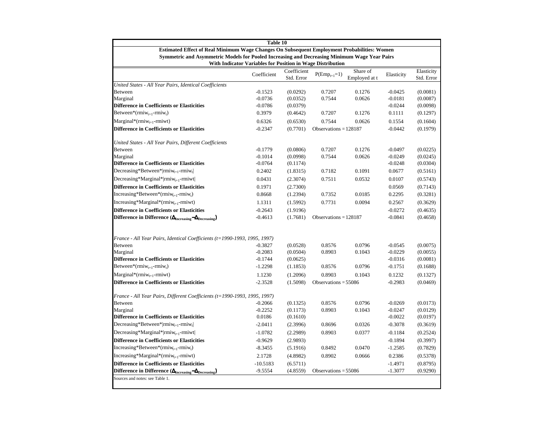| Table 10                                                                                                                                                   |             |                           |                             |                           |            |                          |  |  |
|------------------------------------------------------------------------------------------------------------------------------------------------------------|-------------|---------------------------|-----------------------------|---------------------------|------------|--------------------------|--|--|
| <b>Estimated Effect of Real Minimum Wage Changes On Subsequent Employment Probabilities: Women</b>                                                         |             |                           |                             |                           |            |                          |  |  |
| Symmetric and Asymmetric Models for Pooled Increasing and Decreasing Minimum Wage Year Pairs<br>With Indicator Variables for Position in Wage Distribution |             |                           |                             |                           |            |                          |  |  |
|                                                                                                                                                            | Coefficient | Coefficient<br>Std. Error | $P(\mathrm{Emp}_{t+1}{=}1)$ | Share of<br>Employed at t | Elasticity | Elasticity<br>Std. Error |  |  |
| United States - All Year Pairs, Identical Coefficients                                                                                                     |             |                           |                             |                           |            |                          |  |  |
| Between                                                                                                                                                    | $-0.1523$   | (0.0292)                  | 0.7207                      | 0.1276                    | $-0.0425$  | (0.0081)                 |  |  |
| Marginal                                                                                                                                                   | $-0.0736$   | (0.0352)                  | 0.7544                      | 0.0626                    | $-0.0181$  | (0.0087)                 |  |  |
| <b>Difference in Coefficients or Elasticities</b>                                                                                                          | $-0.0786$   | (0.0379)                  |                             |                           | $-0.0244$  | (0.0098)                 |  |  |
| Between*( $rmiw_{t+1}$ - $rmiw_t$ )                                                                                                                        | 0.3979      | (0.4642)                  | 0.7207                      | 0.1276                    | 0.1111     | (0.1297)                 |  |  |
| $Marginal*(rmiw_{t+1}-rmiwt)$                                                                                                                              | 0.6326      | (0.6530)                  | 0.7544                      | 0.0626                    | 0.1554     | (0.1604)                 |  |  |
| <b>Difference in Coefficients or Elasticities</b>                                                                                                          | $-0.2347$   | (0.7701)                  | Observations = $128187$     |                           | $-0.0442$  | (0.1979)                 |  |  |
| United States - All Year Pairs, Different Coefficients                                                                                                     |             |                           |                             |                           |            |                          |  |  |
| <b>Between</b>                                                                                                                                             | $-0.1779$   | (0.0806)                  | 0.7207                      | 0.1276                    | $-0.0497$  | (0.0225)                 |  |  |
| Marginal                                                                                                                                                   | $-0.1014$   | (0.0998)                  | 0.7544                      | 0.0626                    | $-0.0249$  | (0.0245)                 |  |  |
| <b>Difference in Coefficients or Elasticities</b>                                                                                                          | $-0.0764$   | (0.1174)                  |                             |                           | $-0.0248$  | (0.0304)                 |  |  |
| Decreasing*Between*  $rmin_{t+1}$ - $rmin_{t}$                                                                                                             | 0.2402      | (1.8315)                  | 0.7182                      | 0.1091                    | 0.0677     | (0.5161)                 |  |  |
| Decreasing*Marginal* rmiw <sub>t+1</sub> -rmiwt                                                                                                            | 0.0431      | (2.3074)                  | 0.7511                      | 0.0532                    | 0.0107     | (0.5743)                 |  |  |
| <b>Difference in Coefficients or Elasticities</b>                                                                                                          | 0.1971      | (2.7300)                  |                             |                           | 0.0569     | (0.7143)                 |  |  |
| $Increasing*Between*(rmiw_{t+1}-rmiw_t)$                                                                                                                   | 0.8668      | (1.2394)                  | 0.7352                      | 0.0185                    | 0.2295     | (0.3281)                 |  |  |
| $Increasing*Marginal*(rmiw_{t+1}-rmiwt)$                                                                                                                   | 1.1311      | (1.5992)                  | 0.7731                      | 0.0094                    | 0.2567     | (0.3629)                 |  |  |
| <b>Difference in Coefficients or Elasticities</b>                                                                                                          | $-0.2643$   | (1.9196)                  |                             |                           | $-0.0272$  | (0.4635)                 |  |  |
| Difference in Difference $(\Delta_{\text{Increasing}} - \Delta_{\text{Decreasing}})$                                                                       | $-0.4613$   | (1.7681)                  | Observations = $128187$     |                           | $-0.0841$  | (0.4658)                 |  |  |
|                                                                                                                                                            |             |                           |                             |                           |            |                          |  |  |
| France - All Year Pairs, Identical Coefficients (t=1990-1993, 1995, 1997)<br>Between                                                                       | $-0.3827$   | (0.0528)                  | 0.8576                      | 0.0796                    | $-0.0545$  | (0.0075)                 |  |  |
| Marginal                                                                                                                                                   | $-0.2083$   | (0.0504)                  | 0.8903                      | 0.1043                    | $-0.0229$  | (0.0055)                 |  |  |
| <b>Difference in Coefficients or Elasticities</b>                                                                                                          | $-0.1744$   | (0.0625)                  |                             |                           | $-0.0316$  | (0.0081)                 |  |  |
| Between*( $rmiw_{t+1}$ - $rmiw_t$ )                                                                                                                        | $-1.2298$   | (1.1853)                  | 0.8576                      | 0.0796                    | $-0.1751$  | (0.1688)                 |  |  |
| $Marginal*(rmiw_{t+1}-rmiwt)$                                                                                                                              | 1.1230      | (1.2096)                  | 0.8903                      | 0.1043                    | 0.1232     | (0.1327)                 |  |  |
| <b>Difference in Coefficients or Elasticities</b>                                                                                                          | $-2.3528$   | (1.5098)                  | Observations $= 55086$      |                           | $-0.2983$  | (0.0469)                 |  |  |
|                                                                                                                                                            |             |                           |                             |                           |            |                          |  |  |
| France - All Year Pairs, Different Coefficients (t=1990-1993, 1995, 1997)                                                                                  |             |                           |                             |                           |            |                          |  |  |
| <b>Between</b>                                                                                                                                             | $-0.2066$   | (0.1325)                  | 0.8576                      | 0.0796                    | $-0.0269$  | (0.0173)                 |  |  |
| Marginal                                                                                                                                                   | $-0.2252$   | (0.1173)                  | 0.8903                      | 0.1043                    | $-0.0247$  | (0.0129)                 |  |  |
| <b>Difference in Coefficients or Elasticities</b>                                                                                                          | 0.0186      | (0.1610)                  |                             |                           | $-0.0022$  | (0.0197)                 |  |  |
| Decreasing*Between* rmi $w_{t+1}$ -rmi $w_t$                                                                                                               | $-2.0411$   | (2.3996)                  | 0.8696                      | 0.0326                    | $-0.3078$  | (0.3619)                 |  |  |
| Decreasing*Marginal*  $r$ miw <sub>t+1</sub> - $r$ miwt                                                                                                    | $-1.0782$   | (2.2989)                  | 0.8903                      | 0.0377                    | $-0.1184$  | (0.2524)                 |  |  |
| <b>Difference in Coefficients or Elasticities</b>                                                                                                          | $-0.9629$   | (2.9893)                  |                             |                           | $-0.1894$  | (0.3997)                 |  |  |
| $Increasing*Between*(rmiw_{t+1}-rmiw_t)$                                                                                                                   | $-8.3455$   | (5.1916)                  | 0.8492                      | 0.0470                    | $-1.2585$  | (0.7829)                 |  |  |
| $Increasing*Marginal*(rmiw_{t+1}-rmiwt)$                                                                                                                   | 2.1728      | (4.8982)                  | 0.8902                      | 0.0666                    | 0.2386     | (0.5378)                 |  |  |
| <b>Difference in Coefficients or Elasticities</b>                                                                                                          | $-10.5183$  | (6.5711)                  |                             |                           | $-1.4971$  | (0.8795)                 |  |  |
| Difference in Difference $(\Delta_{\text{Increasing}} - \Delta_{\text{Decreasing}})$                                                                       | $-9.5554$   | (4.8559)                  | Observations = $55086$      |                           | $-1.3077$  | (0.9290)                 |  |  |
| Sources and notes: see Table 1.                                                                                                                            |             |                           |                             |                           |            |                          |  |  |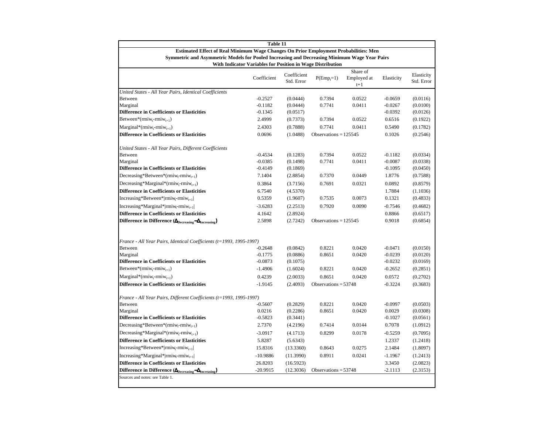|                                                                                                                                                            | Table 11               |                           |                         |                                  |                        |                          |
|------------------------------------------------------------------------------------------------------------------------------------------------------------|------------------------|---------------------------|-------------------------|----------------------------------|------------------------|--------------------------|
| Estimated Effect of Real Minimum Wage Changes On Prior Employment Probabilities: Men                                                                       |                        |                           |                         |                                  |                        |                          |
| Symmetric and Asymmetric Models for Pooled Increasing and Decreasing Minimum Wage Year Pairs<br>With Indicator Variables for Position in Wage Distribution |                        |                           |                         |                                  |                        |                          |
|                                                                                                                                                            | Coefficient            | Coefficient<br>Std. Error | $P(Emp_t=1)$            | Share of<br>Employed at<br>$t+1$ | Elasticity             | Elasticity<br>Std. Error |
| United States - All Year Pairs, Identical Coefficients                                                                                                     |                        |                           |                         |                                  |                        |                          |
| Between                                                                                                                                                    | $-0.2527$              | (0.0444)                  | 0.7394                  | 0.0522                           | $-0.0659$              | (0.0116)                 |
| Marginal                                                                                                                                                   | $-0.1182$              | (0.0444)                  | 0.7741                  | 0.0411                           | $-0.0267$              | (0.0100)                 |
| <b>Difference in Coefficients or Elasticities</b>                                                                                                          | $-0.1345$              | (0.0517)                  |                         |                                  | $-0.0392$              | (0.0126)                 |
| Between*(rmiw <sub>t</sub> -rmiw <sub>t+1</sub> )                                                                                                          | 2.4999                 | (0.7373)                  | 0.7394                  | 0.0522                           | 0.6516                 | (0.1922)                 |
| $\text{Marginal}^*(\text{rmiw}_t\text{-rmiw}_{t+1})$                                                                                                       | 2.4303                 | (0.7888)                  | 0.7741                  | 0.0411                           | 0.5490                 | (0.1782)                 |
| <b>Difference in Coefficients or Elasticities</b>                                                                                                          | 0.0696                 | (1.0488)                  | Observations = $125545$ |                                  | 0.1026                 | (0.2546)                 |
| United States - All Year Pairs, Different Coefficients                                                                                                     |                        |                           |                         |                                  |                        |                          |
| Between                                                                                                                                                    | $-0.4534$              | (0.1283)                  | 0.7394                  | 0.0522                           | $-0.1182$              | (0.0334)                 |
| Marginal                                                                                                                                                   | $-0.0385$              | (0.1498)                  | 0.7741                  | 0.0411                           | $-0.0087$              | (0.0338)                 |
| <b>Difference in Coefficients or Elasticities</b>                                                                                                          | $-0.4149$              | (0.1869)                  |                         |                                  | $-0.1095$              | (0.0450)                 |
| Decreasing*Between*(rmiw <sub>t-rmiw<sub>t+1</sub>)</sub>                                                                                                  | 7.1404                 | (2.8854)                  | 0.7370                  | 0.0449                           | 1.8776                 | (0.7588)                 |
| Decreasing*Marginal*(rmiw <sub>t</sub> -rmiw <sub>t+1</sub> )                                                                                              | 0.3864                 | (3.7156)                  | 0.7691                  | 0.0321                           | 0.0892                 | (0.8579)                 |
| <b>Difference in Coefficients or Elasticities</b>                                                                                                          | 6.7540                 | (4.5370)                  |                         |                                  | 1.7884                 | (1.1036)                 |
| $Increasing*Between* rmiw_r-rmiw_{t+1} $                                                                                                                   | 0.5359                 | (1.9607)                  | 0.7535                  | 0.0073                           | 0.1321                 | (0.4833)                 |
| Increasing*Marginal* rmiw <sub>t-rmiw<sub>t+1</sub> </sub>                                                                                                 | $-3.6283$              | (2.2513)                  | 0.7920                  | 0.0090                           | $-0.7546$              | (0.4682)                 |
| <b>Difference in Coefficients or Elasticities</b>                                                                                                          | 4.1642                 | (2.8924)                  |                         |                                  | 0.8866                 | (0.6517)                 |
| Difference in Difference ( $\Delta_{\text{Decreasing}} - \Delta_{\text{Increasing}}$ )                                                                     | 2.5898                 | (2.7242)                  | Observations = $125545$ |                                  | 0.9018                 | (0.6854)                 |
|                                                                                                                                                            |                        |                           |                         |                                  |                        |                          |
| France - All Year Pairs, Identical Coefficients (t=1993, 1995-1997)                                                                                        |                        |                           |                         |                                  |                        |                          |
| Between<br>Marginal                                                                                                                                        | $-0.2648$<br>$-0.1775$ | (0.0842)<br>(0.0886)      | 0.8221<br>0.8651        | 0.0420<br>0.0420                 | $-0.0471$<br>$-0.0239$ | (0.0150)<br>(0.0120)     |
| <b>Difference in Coefficients or Elasticities</b>                                                                                                          | $-0.0873$              | (0.1075)                  |                         |                                  | $-0.0232$              | (0.0169)                 |
| Between*(rmiw <sub>t</sub> -rmiw <sub>t+1</sub> )                                                                                                          | $-1.4906$              | (1.6024)                  | 0.8221                  | 0.0420                           | $-0.2652$              | (0.2851)                 |
| $Marginal*(rmiw_t-rmiw_{t+1})$                                                                                                                             | 0.4239                 | (2.0033)                  | 0.8651                  | 0.0420                           | 0.0572                 | (0.2702)                 |
| <b>Difference in Coefficients or Elasticities</b>                                                                                                          | $-1.9145$              | (2.4093)                  | Observations = $53748$  |                                  | $-0.3224$              | (0.3683)                 |
|                                                                                                                                                            |                        |                           |                         |                                  |                        |                          |
| France - All Year Pairs, Different Coefficients (t=1993, 1995-1997)                                                                                        |                        |                           |                         |                                  |                        |                          |
| Between                                                                                                                                                    | $-0.5607$              | (0.2829)                  | 0.8221                  | 0.0420                           | $-0.0997$              | (0.0503)                 |
| Marginal                                                                                                                                                   | 0.0216                 | (0.2286)                  | 0.8651                  | 0.0420                           | 0.0029                 | (0.0308)                 |
| <b>Difference in Coefficients or Elasticities</b>                                                                                                          | $-0.5823$              | (0.3441)                  |                         |                                  | $-0.1027$              | (0.0561)                 |
| Decreasing*Between*(rmiw <sub>t-</sub> rmiw <sub>t+1</sub> )                                                                                               | 2.7370                 | (4.2196)                  | 0.7414                  | 0.0144                           | 0.7078                 | (1.0912)                 |
| $Decreasing*Marginal*(rmiw,-rmiw_{i+1})$                                                                                                                   | $-3.0917$              | (4.1713)                  | 0.8299                  | 0.0178                           | $-0.5259$              | (0.7095)                 |
| <b>Difference in Coefficients or Elasticities</b>                                                                                                          | 5.8287                 | (5.6343)                  |                         |                                  | 1.2337                 | (1.2418)                 |
| $Increasing*Between* rmiw_r-rmiw_{t+1} $                                                                                                                   | 15.8316                | (13.3360)                 | 0.8643                  | 0.0275                           | 2.1484                 | (1.8097)                 |
| Increasing*Marginal* rmiw <sub>t-rmiw<sub>t+1</sub> </sub>                                                                                                 | $-10.9886$             | (11.3990)                 | 0.8911                  | 0.0241                           | $-1.1967$              | (1.2413)                 |
| <b>Difference in Coefficients or Elasticities</b>                                                                                                          | 26.8203                | (16.5923)                 |                         |                                  | 3.3450                 | (2.0823)                 |
| Difference in Difference ( $\Delta_{\text{Decreasing}} - \Delta_{\text{Increasing}}$ )                                                                     | $-20.9915$             | (12.3036)                 | Observations = $53748$  |                                  | $-2.1113$              | (2.3153)                 |
| Sources and notes: see Table 1.                                                                                                                            |                        |                           |                         |                                  |                        |                          |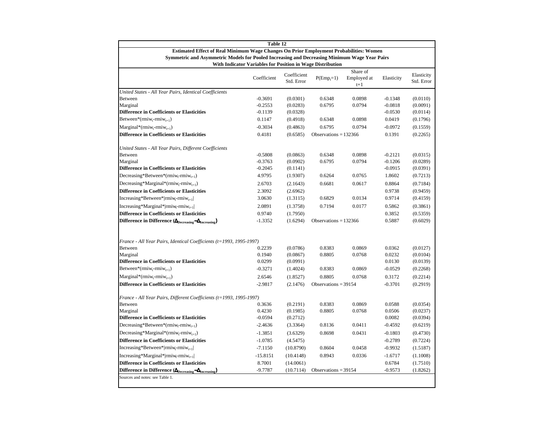|                                                                                                                                                                                        | Table 12               |                           |                         |                                  |                     |                          |
|----------------------------------------------------------------------------------------------------------------------------------------------------------------------------------------|------------------------|---------------------------|-------------------------|----------------------------------|---------------------|--------------------------|
| Estimated Effect of Real Minimum Wage Changes On Prior Employment Probabilities: Women<br>Symmetric and Asymmetric Models for Pooled Increasing and Decreasing Minimum Wage Year Pairs |                        |                           |                         |                                  |                     |                          |
| With Indicator Variables for Position in Wage Distribution                                                                                                                             |                        |                           |                         |                                  |                     |                          |
|                                                                                                                                                                                        | Coefficient            | Coefficient<br>Std. Error | $P(Empr=1)$             | Share of<br>Employed at<br>$t+1$ | Elasticity          | Elasticity<br>Std. Error |
| United States - All Year Pairs, Identical Coefficients                                                                                                                                 |                        |                           |                         |                                  |                     |                          |
| Between                                                                                                                                                                                | $-0.3691$              | (0.0301)                  | 0.6348                  | 0.0898                           | $-0.1348$           | (0.0110)                 |
| Marginal<br><b>Difference in Coefficients or Elasticities</b>                                                                                                                          | $-0.2553$<br>$-0.1139$ | (0.0283)                  | 0.6795                  | 0.0794                           | $-0.0818$           | (0.0091)                 |
| Between*(rmiw <sub>t</sub> -rmiw <sub>t+1</sub> )                                                                                                                                      | 0.1147                 | (0.0328)<br>(0.4918)      | 0.6348                  | 0.0898                           | $-0.0530$<br>0.0419 | (0.0114)<br>(0.1796)     |
|                                                                                                                                                                                        |                        |                           |                         |                                  |                     |                          |
| $\text{Marginal}^*(\text{rmiw}_{t} - \text{rmiw}_{t+1})$                                                                                                                               | $-0.3034$              | (0.4863)                  | 0.6795                  | 0.0794                           | $-0.0972$           | (0.1559)                 |
| <b>Difference in Coefficients or Elasticities</b>                                                                                                                                      | 0.4181                 | (0.6585)                  | Observations = $132366$ |                                  | 0.1391              | (0.2265)                 |
| United States - All Year Pairs, Different Coefficients                                                                                                                                 |                        |                           |                         |                                  |                     |                          |
| Between                                                                                                                                                                                | $-0.5808$              | (0.0863)                  | 0.6348                  | 0.0898                           | $-0.2121$           | (0.0315)                 |
| Marginal                                                                                                                                                                               | $-0.3763$              | (0.0902)                  | 0.6795                  | 0.0794                           | $-0.1206$           | (0.0289)                 |
| <b>Difference in Coefficients or Elasticities</b>                                                                                                                                      | $-0.2045$              | (0.1141)                  |                         |                                  | $-0.0915$           | (0.0391)                 |
| Decreasing*Between*(rmiw <sub>t-rmiw<sub>t+1</sub>)</sub>                                                                                                                              | 4.9795                 | (1.9307)                  | 0.6264                  | 0.0765                           | 1.8602              | (0.7213)                 |
| Decreasing*Marginal*(rmiw <sub>t</sub> -rmiw <sub>t+1</sub> )                                                                                                                          | 2.6703                 | (2.1643)                  | 0.6681                  | 0.0617                           | 0.8864              | (0.7184)                 |
| <b>Difference in Coefficients or Elasticities</b>                                                                                                                                      | 2.3092                 | (2.6962)                  |                         |                                  | 0.9738              | (0.9459)                 |
| $Increasing*Between* rmiw_t-rmiw_{t+1} $                                                                                                                                               | 3.0630                 | (1.3115)                  | 0.6829                  | 0.0134                           | 0.9714              | (0.4159)                 |
| Increasing*Marginal* rmiw <sub>t-rmiw<sub>t+1</sub> </sub>                                                                                                                             | 2.0891                 | (1.3758)                  | 0.7194                  | 0.0177                           | 0.5862              | (0.3861)                 |
| <b>Difference in Coefficients or Elasticities</b>                                                                                                                                      | 0.9740                 | (1.7950)                  |                         |                                  | 0.3852              | (0.5359)                 |
| Difference in Difference ( $\Delta_{\text{Decreasing}} - \Delta_{\text{Increasing}}$ )                                                                                                 | $-1.3352$              | (1.6294)                  | Observations = $132366$ |                                  | 0.5887              | (0.6029)                 |
|                                                                                                                                                                                        |                        |                           |                         |                                  |                     |                          |
| France - All Year Pairs, Identical Coefficients (t=1993, 1995-1997)<br>Between                                                                                                         | 0.2239                 | (0.0786)                  | 0.8383                  | 0.0869                           | 0.0362              | (0.0127)                 |
| Marginal                                                                                                                                                                               | 0.1940                 | (0.0867)                  | 0.8805                  | 0.0768                           | 0.0232              | (0.0104)                 |
| <b>Difference in Coefficients or Elasticities</b>                                                                                                                                      | 0.0299                 | (0.0991)                  |                         |                                  | 0.0130              | (0.0139)                 |
| Between*(rmiw <sub>t</sub> -rmiw <sub>t+1</sub> )                                                                                                                                      | $-0.3271$              | (1.4024)                  | 0.8383                  | 0.0869                           | $-0.0529$           | (0.2268)                 |
| $\text{Marginal}^*(\text{rmiw}_t\text{-rmiw}_{t+1})$                                                                                                                                   | 2.6546                 | (1.8527)                  | 0.8805                  | 0.0768                           | 0.3172              | (0.2214)                 |
| <b>Difference in Coefficients or Elasticities</b>                                                                                                                                      | $-2.9817$              | (2.1476)                  | Observations = $39154$  |                                  | $-0.3701$           | (0.2919)                 |
|                                                                                                                                                                                        |                        |                           |                         |                                  |                     |                          |
| France - All Year Pairs, Different Coefficients (t=1993, 1995-1997)<br>Between                                                                                                         | 0.3636                 | (0.2191)                  | 0.8383                  | 0.0869                           | 0.0588              | (0.0354)                 |
| Marginal                                                                                                                                                                               | 0.4230                 | (0.1985)                  | 0.8805                  | 0.0768                           | 0.0506              | (0.0237)                 |
| <b>Difference in Coefficients or Elasticities</b>                                                                                                                                      | $-0.0594$              | (0.2712)                  |                         |                                  | 0.0082              | (0.0394)                 |
| Decreasing*Between*(rmiw <sub>t-rmiw<sub>t+1</sub>)</sub>                                                                                                                              | $-2.4636$              | (3.3364)                  | 0.8136                  | 0.0411                           | $-0.4592$           | (0.6219)                 |
| Decreasing*Marginal*(rmiw <sub>t-rmiw<sub>t+1</sub>)</sub>                                                                                                                             | $-1.3851$              | (3.6329)                  | 0.8698                  | 0.0431                           | $-0.1803$           | (0.4730)                 |
| <b>Difference in Coefficients or Elasticities</b>                                                                                                                                      | $-1.0785$              | (4.5475)                  |                         |                                  | $-0.2789$           | (0.7224)                 |
| $Increasing*Between* rmiw_r-rmiw_{t+1} $                                                                                                                                               | $-7.1150$              | (10.8790)                 | 0.8604                  | 0.0458                           | $-0.9932$           | (1.5187)                 |
| Increasing*Marginal* rmiw <sub>t-rmiw<sub>t+1</sub> </sub>                                                                                                                             | $-15.8151$             | (10.4148)                 | 0.8943                  | 0.0336                           | $-1.6717$           | (1.1008)                 |
| <b>Difference in Coefficients or Elasticities</b>                                                                                                                                      | 8.7001                 | (14.0061)                 |                         |                                  | 0.6784              | (1.7510)                 |
| Difference in Difference ( $\Delta_{\text{Decreasing}} - \Delta_{\text{Increasing}}$ )                                                                                                 | $-9.7787$              | (10.7114)                 | Observations = $39154$  |                                  | $-0.9573$           | (1.8262)                 |
| Sources and notes: see Table 1.                                                                                                                                                        |                        |                           |                         |                                  |                     |                          |
|                                                                                                                                                                                        |                        |                           |                         |                                  |                     |                          |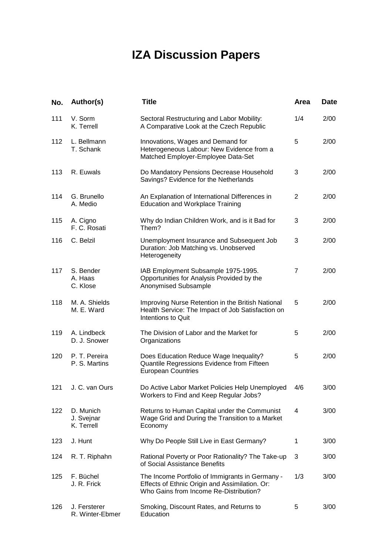# **IZA Discussion Papers**

| No. | Author(s)                             | <b>Title</b>                                                                                                                                | Area           | <b>Date</b> |
|-----|---------------------------------------|---------------------------------------------------------------------------------------------------------------------------------------------|----------------|-------------|
| 111 | V. Sorm<br>K. Terrell                 | Sectoral Restructuring and Labor Mobility:<br>A Comparative Look at the Czech Republic                                                      | 1/4            | 2/00        |
| 112 | L. Bellmann<br>T. Schank              | Innovations, Wages and Demand for<br>Heterogeneous Labour: New Evidence from a<br>Matched Employer-Employee Data-Set                        | 5              | 2/00        |
| 113 | R. Euwals                             | Do Mandatory Pensions Decrease Household<br>Savings? Evidence for the Netherlands                                                           | 3              | 2/00        |
| 114 | G. Brunello<br>A. Medio               | An Explanation of International Differences in<br><b>Education and Workplace Training</b>                                                   | $\overline{2}$ | 2/00        |
| 115 | A. Cigno<br>F. C. Rosati              | Why do Indian Children Work, and is it Bad for<br>Them?                                                                                     | 3              | 2/00        |
| 116 | C. Belzil                             | Unemployment Insurance and Subsequent Job<br>Duration: Job Matching vs. Unobserved<br>Heterogeneity                                         | 3              | 2/00        |
| 117 | S. Bender<br>A. Haas<br>C. Klose      | IAB Employment Subsample 1975-1995.<br>Opportunities for Analysis Provided by the<br>Anonymised Subsample                                   | $\overline{7}$ | 2/00        |
| 118 | M. A. Shields<br>M. E. Ward           | Improving Nurse Retention in the British National<br>Health Service: The Impact of Job Satisfaction on<br>Intentions to Quit                | 5              | 2/00        |
| 119 | A. Lindbeck<br>D. J. Snower           | The Division of Labor and the Market for<br>Organizations                                                                                   | 5              | 2/00        |
| 120 | P. T. Pereira<br>P. S. Martins        | Does Education Reduce Wage Inequality?<br>Quantile Regressions Evidence from Fifteen<br><b>European Countries</b>                           | 5              | 2/00        |
| 121 | J. C. van Ours                        | Do Active Labor Market Policies Help Unemployed<br>Workers to Find and Keep Regular Jobs?                                                   | 4/6            | 3/00        |
| 122 | D. Munich<br>J. Svejnar<br>K. Terrell | Returns to Human Capital under the Communist<br>Wage Grid and During the Transition to a Market<br>Economy                                  | 4              | 3/00        |
| 123 | J. Hunt                               | Why Do People Still Live in East Germany?                                                                                                   | 1              | 3/00        |
| 124 | R. T. Riphahn                         | Rational Poverty or Poor Rationality? The Take-up<br>of Social Assistance Benefits                                                          | 3              | 3/00        |
| 125 | F. Büchel<br>J. R. Frick              | The Income Portfolio of Immigrants in Germany -<br>Effects of Ethnic Origin and Assimilation. Or:<br>Who Gains from Income Re-Distribution? | 1/3            | 3/00        |
| 126 | J. Fersterer<br>R. Winter-Ebmer       | Smoking, Discount Rates, and Returns to<br>Education                                                                                        | 5              | 3/00        |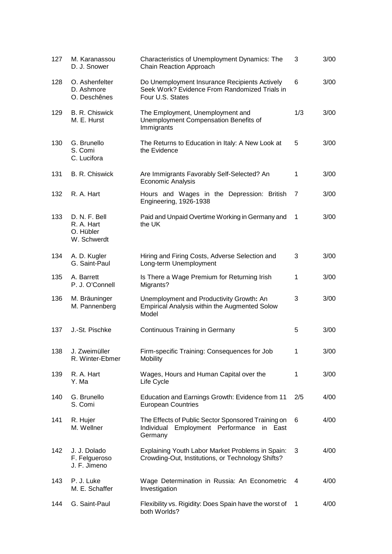| 127 | M. Karanassou<br>D. J. Snower                           | Characteristics of Unemployment Dynamics: The<br>Chain Reaction Approach                                           | 3           | 3/00 |
|-----|---------------------------------------------------------|--------------------------------------------------------------------------------------------------------------------|-------------|------|
| 128 | O. Ashenfelter<br>D. Ashmore<br>O. Deschênes            | Do Unemployment Insurance Recipients Actively<br>Seek Work? Evidence From Randomized Trials in<br>Four U.S. States | 6           | 3/00 |
| 129 | B. R. Chiswick<br>M. E. Hurst                           | The Employment, Unemployment and<br>Unemployment Compensation Benefits of<br>Immigrants                            | 1/3         | 3/00 |
| 130 | G. Brunello<br>S. Comi<br>C. Lucifora                   | The Returns to Education in Italy: A New Look at<br>the Evidence                                                   | 5           | 3/00 |
| 131 | B. R. Chiswick                                          | Are Immigrants Favorably Self-Selected? An<br>Economic Analysis                                                    | 1           | 3/00 |
| 132 | R. A. Hart                                              | Hours and Wages in the Depression: British<br>Engineering, 1926-1938                                               | 7           | 3/00 |
| 133 | D. N. F. Bell<br>R. A. Hart<br>O. Hübler<br>W. Schwerdt | Paid and Unpaid Overtime Working in Germany and<br>the UK                                                          | 1           | 3/00 |
| 134 | A. D. Kugler<br>G. Saint-Paul                           | Hiring and Firing Costs, Adverse Selection and<br>Long-term Unemployment                                           | 3           | 3/00 |
| 135 | A. Barrett<br>P. J. O'Connell                           | Is There a Wage Premium for Returning Irish<br>Migrants?                                                           | 1           | 3/00 |
| 136 | M. Bräuninger<br>M. Pannenberg                          | Unemployment and Productivity Growth: An<br>Empirical Analysis within the Augmented Solow<br>Model                 | 3           | 3/00 |
| 137 | J.-St. Pischke                                          | Continuous Training in Germany                                                                                     | 5           | 3/00 |
| 138 | J. Zweimüller<br>R. Winter-Ebmer                        | Firm-specific Training: Consequences for Job<br><b>Mobility</b>                                                    | 1           | 3/00 |
| 139 | R. A. Hart<br>Y. Ma                                     | Wages, Hours and Human Capital over the<br>Life Cycle                                                              | 1           | 3/00 |
| 140 | G. Brunello<br>S. Comi                                  | Education and Earnings Growth: Evidence from 11<br><b>European Countries</b>                                       | 2/5         | 4/00 |
| 141 | R. Hujer<br>M. Wellner                                  | The Effects of Public Sector Sponsored Training on<br>Employment Performance in<br>Individual<br>East<br>Germany   | 6           | 4/00 |
| 142 | J. J. Dolado<br>F. Felgueroso<br>J. F. Jimeno           | Explaining Youth Labor Market Problems in Spain:<br>Crowding-Out, Institutions, or Technology Shifts?              | 3           | 4/00 |
| 143 | P. J. Luke<br>M. E. Schaffer                            | Wage Determination in Russia: An Econometric<br>Investigation                                                      | 4           | 4/00 |
| 144 | G. Saint-Paul                                           | Flexibility vs. Rigidity: Does Spain have the worst of<br>both Worlds?                                             | $\mathbf 1$ | 4/00 |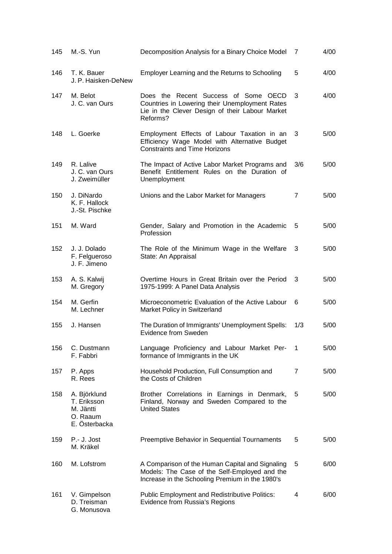| 145 | M.-S. Yun                                                             | Decomposition Analysis for a Binary Choice Model                                                                                                      | 7   | 4/00 |
|-----|-----------------------------------------------------------------------|-------------------------------------------------------------------------------------------------------------------------------------------------------|-----|------|
| 146 | T. K. Bauer<br>J. P. Haisken-DeNew                                    | Employer Learning and the Returns to Schooling                                                                                                        | 5   | 4/00 |
| 147 | M. Belot<br>J. C. van Ours                                            | Does the Recent Success of Some OECD<br>Countries in Lowering their Unemployment Rates<br>Lie in the Clever Design of their Labour Market<br>Reforms? | 3   | 4/00 |
| 148 | L. Goerke                                                             | Employment Effects of Labour Taxation in an<br>Efficiency Wage Model with Alternative Budget<br><b>Constraints and Time Horizons</b>                  | 3   | 5/00 |
| 149 | R. Lalive<br>J. C. van Ours<br>J. Zweimüller                          | The Impact of Active Labor Market Programs and<br>Benefit Entitlement Rules on the Duration of<br>Unemployment                                        | 3/6 | 5/00 |
| 150 | J. DiNardo<br>K. F. Hallock<br>J.-St. Pischke                         | Unions and the Labor Market for Managers                                                                                                              | 7   | 5/00 |
| 151 | M. Ward                                                               | Gender, Salary and Promotion in the Academic<br>Profession                                                                                            | 5   | 5/00 |
| 152 | J. J. Dolado<br>F. Felgueroso<br>J. F. Jimeno                         | The Role of the Minimum Wage in the Welfare<br>State: An Appraisal                                                                                    | 3   | 5/00 |
| 153 | A. S. Kalwij<br>M. Gregory                                            | Overtime Hours in Great Britain over the Period<br>1975-1999: A Panel Data Analysis                                                                   | 3   | 5/00 |
| 154 | M. Gerfin<br>M. Lechner                                               | Microeconometric Evaluation of the Active Labour<br>Market Policy in Switzerland                                                                      | 6   | 5/00 |
| 155 | J. Hansen                                                             | The Duration of Immigrants' Unemployment Spells:<br>Evidence from Sweden                                                                              | 1/3 | 5/00 |
| 156 | C. Dustmann<br>F. Fabbri                                              | Language Proficiency and Labour Market Per-<br>formance of Immigrants in the UK                                                                       | 1   | 5/00 |
| 157 | P. Apps<br>R. Rees                                                    | Household Production, Full Consumption and<br>the Costs of Children                                                                                   | 7   | 5/00 |
| 158 | A. Björklund<br>T. Eriksson<br>M. Jäntti<br>O. Raaum<br>E. Österbacka | Brother Correlations in Earnings in Denmark,<br>Finland, Norway and Sweden Compared to the<br><b>United States</b>                                    | 5   | 5/00 |
| 159 | P.- J. Jost<br>M. Kräkel                                              | Preemptive Behavior in Sequential Tournaments                                                                                                         | 5   | 5/00 |
| 160 | M. Lofstrom                                                           | A Comparison of the Human Capital and Signaling<br>Models: The Case of the Self-Employed and the<br>Increase in the Schooling Premium in the 1980's   | 5   | 6/00 |
| 161 | V. Gimpelson<br>D. Treisman<br>G. Monusova                            | <b>Public Employment and Redistributive Politics:</b><br>Evidence from Russia's Regions                                                               | 4   | 6/00 |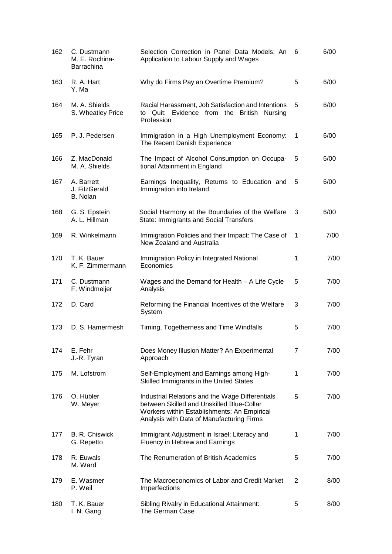| 162 | C. Dustmann<br>M. E. Rochina-<br>Barrachina | Selection Correction in Panel Data Models: An<br>Application to Labour Supply and Wages                                                                                                  | 6 | 6/00 |
|-----|---------------------------------------------|------------------------------------------------------------------------------------------------------------------------------------------------------------------------------------------|---|------|
| 163 | R. A. Hart<br>Y. Ma                         | Why do Firms Pay an Overtime Premium?                                                                                                                                                    | 5 | 6/00 |
| 164 | M. A. Shields<br>S. Wheatley Price          | Racial Harassment, Job Satisfaction and Intentions<br>to Quit: Evidence from the British Nursing<br>Profession                                                                           | 5 | 6/00 |
| 165 | P. J. Pedersen                              | Immigration in a High Unemployment Economy:<br>The Recent Danish Experience                                                                                                              | 1 | 6/00 |
| 166 | Z. MacDonald<br>M. A. Shields               | The Impact of Alcohol Consumption on Occupa-<br>tional Attainment in England                                                                                                             | 5 | 6/00 |
| 167 | A. Barrett<br>J. FitzGerald<br>B. Nolan     | Earnings Inequality, Returns to Education and<br>Immigration into Ireland                                                                                                                | 5 | 6/00 |
| 168 | G. S. Epstein<br>A. L. Hillman              | Social Harmony at the Boundaries of the Welfare<br>State: Immigrants and Social Transfers                                                                                                | 3 | 6/00 |
| 169 | R. Winkelmann                               | Immigration Policies and their Impact: The Case of<br>New Zealand and Australia                                                                                                          | 1 | 7/00 |
| 170 | T. K. Bauer<br>K. F. Zimmermann             | Immigration Policy in Integrated National<br>Economies                                                                                                                                   | 1 | 7/00 |
| 171 | C. Dustmann<br>F. Windmeijer                | Wages and the Demand for Health $-$ A Life Cycle<br>Analysis                                                                                                                             | 5 | 7/00 |
| 172 | D. Card                                     | Reforming the Financial Incentives of the Welfare<br>System                                                                                                                              | 3 | 7/00 |
| 173 | D. S. Hamermesh                             | Timing, Togetherness and Time Windfalls                                                                                                                                                  | 5 | 7/00 |
| 174 | E. Fehr<br>J.-R. Tyran                      | Does Money Illusion Matter? An Experimental<br>Approach                                                                                                                                  | 7 | 7/00 |
| 175 | M. Lofstrom                                 | Self-Employment and Earnings among High-<br>Skilled Immigrants in the United States                                                                                                      | 1 | 7/00 |
| 176 | O. Hübler<br>W. Meyer                       | Industrial Relations and the Wage Differentials<br>between Skilled and Unskilled Blue-Collar<br>Workers within Establishments: An Empirical<br>Analysis with Data of Manufacturing Firms | 5 | 7/00 |
| 177 | B. R. Chiswick<br>G. Repetto                | Immigrant Adjustment in Israel: Literacy and<br>Fluency in Hebrew and Earnings                                                                                                           | 1 | 7/00 |
| 178 | R. Euwals<br>M. Ward                        | The Renumeration of British Academics                                                                                                                                                    | 5 | 7/00 |
| 179 | E. Wasmer<br>P. Weil                        | The Macroeconomics of Labor and Credit Market<br>Imperfections                                                                                                                           | 2 | 8/00 |
| 180 | T. K. Bauer<br>I. N. Gang                   | Sibling Rivalry in Educational Attainment:<br>The German Case                                                                                                                            | 5 | 8/00 |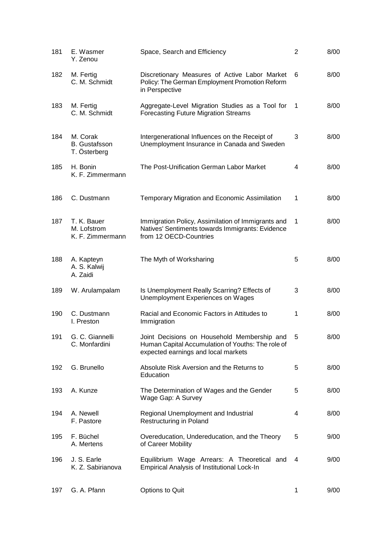| 181 | E. Wasmer<br>Y. Zenou                            | Space, Search and Efficiency                                                                                                            | $\overline{2}$ | 8/00 |
|-----|--------------------------------------------------|-----------------------------------------------------------------------------------------------------------------------------------------|----------------|------|
| 182 | M. Fertig<br>C. M. Schmidt                       | Discretionary Measures of Active Labor Market<br>Policy: The German Employment Promotion Reform<br>in Perspective                       | 6              | 8/00 |
| 183 | M. Fertig<br>C. M. Schmidt                       | Aggregate-Level Migration Studies as a Tool for<br><b>Forecasting Future Migration Streams</b>                                          | $\overline{1}$ | 8/00 |
| 184 | M. Corak<br><b>B.</b> Gustafsson<br>T. Österberg | Intergenerational Influences on the Receipt of<br>Unemployment Insurance in Canada and Sweden                                           | 3              | 8/00 |
| 185 | H. Bonin<br>K. F. Zimmermann                     | The Post-Unification German Labor Market                                                                                                | 4              | 8/00 |
| 186 | C. Dustmann                                      | <b>Temporary Migration and Economic Assimilation</b>                                                                                    | 1              | 8/00 |
| 187 | T. K. Bauer<br>M. Lofstrom<br>K. F. Zimmermann   | Immigration Policy, Assimilation of Immigrants and<br>Natives' Sentiments towards Immigrants: Evidence<br>from 12 OECD-Countries        | 1              | 8/00 |
| 188 | A. Kapteyn<br>A. S. Kalwij<br>A. Zaidi           | The Myth of Worksharing                                                                                                                 | 5              | 8/00 |
| 189 | W. Arulampalam                                   | Is Unemployment Really Scarring? Effects of<br>Unemployment Experiences on Wages                                                        | 3              | 8/00 |
| 190 | C. Dustmann<br>I. Preston                        | Racial and Economic Factors in Attitudes to<br>Immigration                                                                              | 1              | 8/00 |
| 191 | G. C. Giannelli<br>C. Monfardini                 | Joint Decisions on Household Membership and<br>Human Capital Accumulation of Youths: The role of<br>expected earnings and local markets | 5              | 8/00 |
| 192 | G. Brunello                                      | Absolute Risk Aversion and the Returns to<br>Education                                                                                  | 5              | 8/00 |
| 193 | A. Kunze                                         | The Determination of Wages and the Gender<br>Wage Gap: A Survey                                                                         | 5              | 8/00 |
| 194 | A. Newell<br>F. Pastore                          | Regional Unemployment and Industrial<br>Restructuring in Poland                                                                         | 4              | 8/00 |
| 195 | F. Büchel<br>A. Mertens                          | Overeducation, Undereducation, and the Theory<br>of Career Mobility                                                                     | 5              | 9/00 |
| 196 | J. S. Earle<br>K. Z. Sabirianova                 | Equilibrium Wage Arrears: A Theoretical and<br>Empirical Analysis of Institutional Lock-In                                              | 4              | 9/00 |
| 197 | G. A. Pfann                                      | Options to Quit                                                                                                                         | 1              | 9/00 |